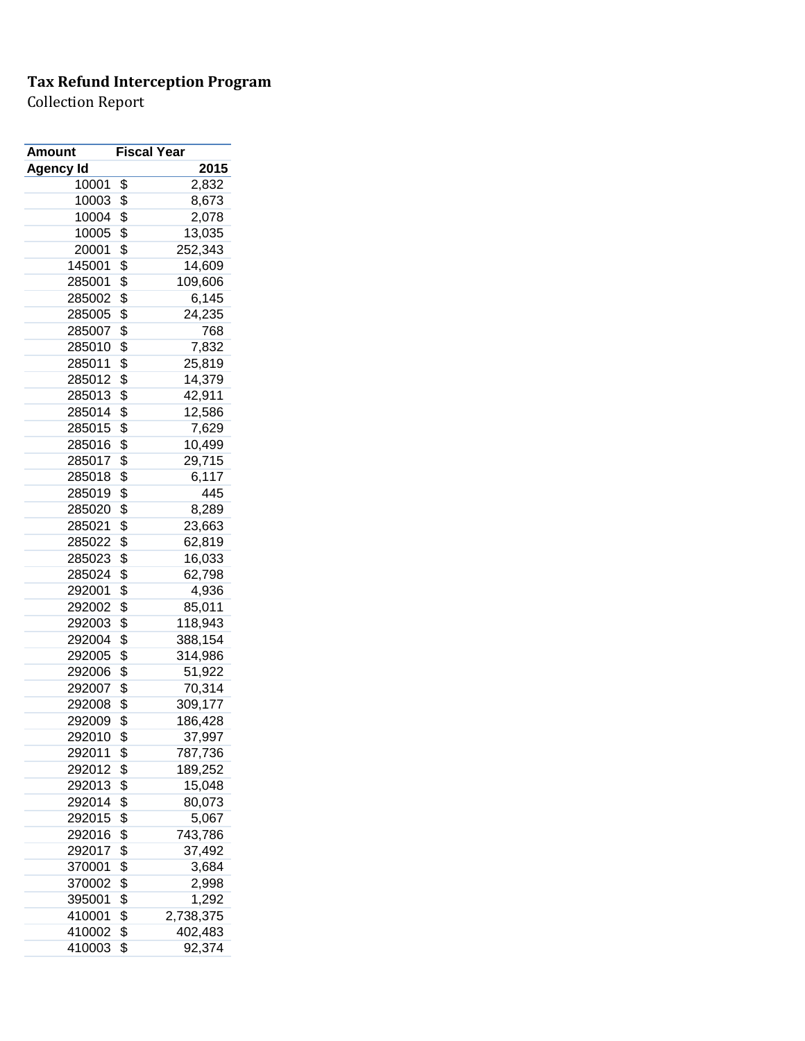| <b>Amount</b> | <b>Fiscal Year</b>      |
|---------------|-------------------------|
| Agency Id     | 2015                    |
| 10001         | \$<br>2,832             |
| 10003         | \$<br>8,673             |
| 10004         | \$<br>2,078             |
| 10005         | \$<br>13,035            |
| 20001         | \$<br>252,343           |
| 145001        | \$<br>14,609            |
| 285001        | \$<br>109,606           |
| 285002        | \$<br>6,145             |
| 285005        | \$<br>24,235            |
| 285007        | \$<br>768               |
| 285010        | \$<br>7,832             |
| 285011        | \$<br>25,819            |
| 285012        | \$<br>14,379            |
| 285013        | \$<br>42,911            |
| 285014        | \$<br>12,586            |
| 285015        | \$<br>7,629             |
| 285016        | \$<br>10,499            |
| 285017        | \$<br>29,715            |
| 285018        | \$<br>6,117             |
| 285019        | \$<br>445               |
| 285020        | \$<br>8,289             |
| 285021        | \$<br>23,663            |
| 285022        | \$<br>62,819            |
| 285023        | \$<br>16,033            |
| 285024        | \$<br>62,798            |
| 292001        | \$<br>4,936             |
| 292002        | \$<br>85,011            |
| 292003        | \$<br>118,943           |
| 292004        | \$<br>388,154           |
| 292005        | \$<br>314,986           |
| 292006        | \$<br>51,922            |
| 292007        | \$<br>70,314            |
| 292008        | \$<br>309,177           |
| 292009        | \$<br>186,428           |
| 292010        | \$                      |
| 292011        | \$<br>37,997<br>787,736 |
| 292012        | \$<br>189,252           |
| 292013        | \$<br>15,048            |
|               |                         |
| 292014        | \$<br>80,073            |
| 292015        | \$<br>5,067             |
| 292016        | \$<br>743,786           |
| 292017        | \$<br>37,492            |
| 370001        | \$<br>3,684             |
| 370002        | \$<br>2,998             |
| 395001        | \$<br>1,292             |
| 410001        | \$<br>2,738,375         |
| 410002        | \$<br>402,483           |
| 410003        | \$<br>92,374            |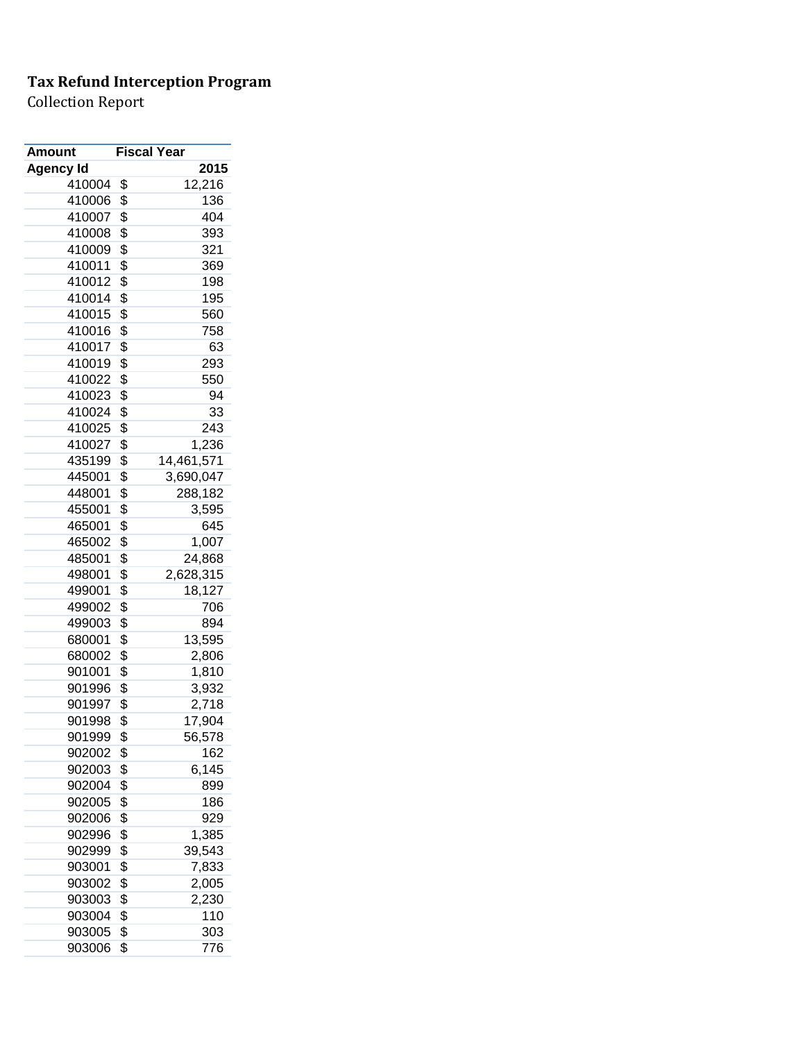| Amount           | <b>Fiscal Year</b> |            |
|------------------|--------------------|------------|
| <b>Agency Id</b> |                    | 2015       |
| 410004           | \$                 | 12,216     |
| 410006           | \$                 | 136        |
| 410007           | \$                 | 404        |
| 410008           | \$                 | 393        |
| 410009           | \$                 | 321        |
| 410011           | \$                 | 369        |
| 410012           | \$                 | 198        |
| 410014           | \$                 | 195        |
| 410015           | \$                 | 560        |
| 410016           | \$                 | 758        |
| 410017           | \$                 | 63         |
| 410019           | \$                 | 293        |
| 410022           | \$                 | 550        |
| 410023           | \$                 | 94         |
| 410024           | \$                 | 33         |
| 410025           | \$                 | 243        |
| 410027           | \$                 | 1,236      |
| 435199           | \$                 | 14,461,571 |
| 445001           | \$                 | 3,690,047  |
| 448001           | \$                 | 288,182    |
| 455001           | \$                 | 3,595      |
| 465001           | \$                 | 645        |
| 465002           | \$                 | 1,007      |
| 485001           | \$                 | 24,868     |
| 498001           | \$                 | 2,628,315  |
| 499001           | \$                 | 18,127     |
| 499002           | \$                 | 706        |
| 499003           | \$                 | 894        |
| 680001           | \$                 | 13,595     |
| 680002           | \$                 | 2,806      |
| 901001           | \$                 | 1,810      |
| 901996           | \$                 | 3,932      |
| 901997           | \$                 | 2,718      |
| 901998           | \$                 | 17,904     |
| 901999           | \$                 | 56,578     |
| 902002           | \$                 | 162        |
| 902003           | \$                 | 6,145      |
| 902004           | \$                 | 899        |
| 902005           | \$                 | 186        |
| 902006           | \$                 | 929        |
| 902996           | \$                 | 1,385      |
| 902999           | \$                 | 39,543     |
| 903001           | \$                 | 7,833      |
| 903002           | \$                 | 2,005      |
| 903003           | \$                 | 2,230      |
| 903004           | \$                 | 110        |
| 903005           | \$                 | 303        |
| 903006           | \$                 | 776        |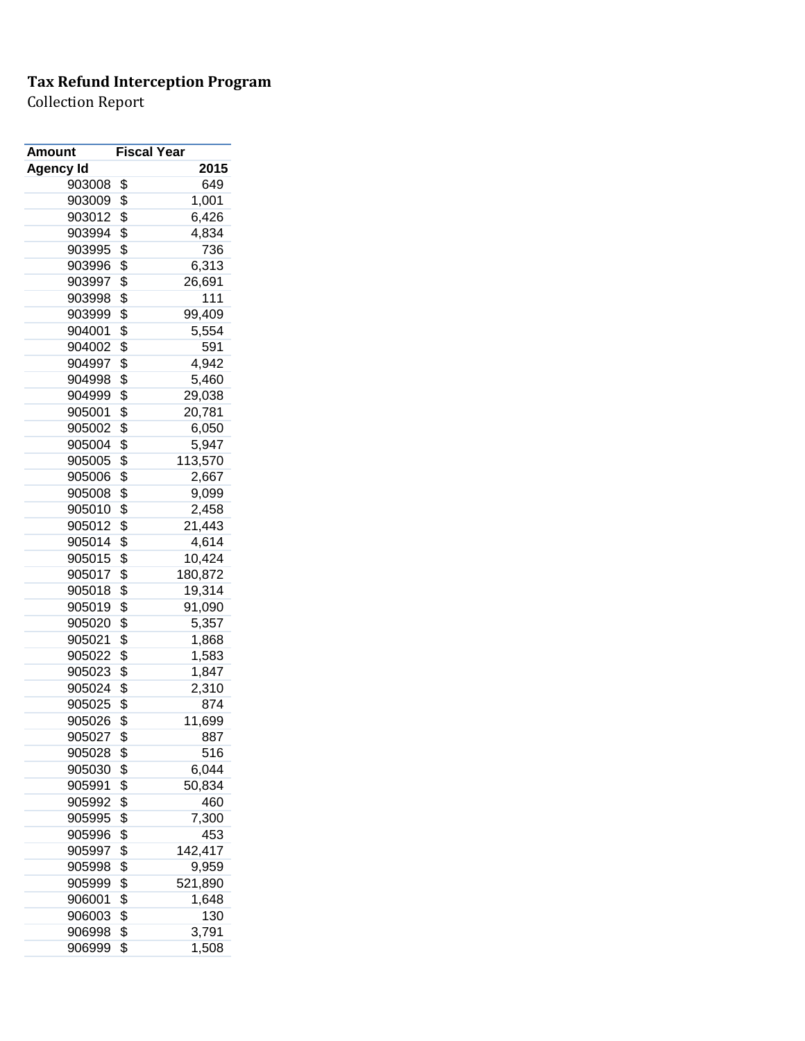| 2015<br>Agency Id<br>649<br>903008<br>\$<br>903009<br>\$<br>1,001<br>\$<br>903012<br>6,426<br>\$<br>903994<br>4,834<br>\$<br>736<br>903995<br>\$<br>903996<br>6,313<br>\$<br>903997<br>26,691<br>\$<br>903998<br>111<br>\$<br>903999<br>99,409<br>\$<br>904001<br>5,554<br>\$<br>591<br>904002<br>\$<br>904997<br>4,942<br>\$<br>904998<br>5,460<br>\$<br>904999<br>29,038<br>\$<br>905001<br>20,781<br>\$<br>905002<br>6,050<br>\$<br>5,947<br>905004<br>\$<br>113,570<br>905005<br>\$<br>905006<br>2,667<br>\$<br>905008<br>9,099<br>\$<br>905010<br>2,458<br>\$<br>905012<br>21,443<br>\$<br>905014<br>4,614<br>\$<br>905015<br>10,424<br>\$<br>180,872<br>905017<br>\$<br>905018<br>19,314<br>\$<br>905019<br>91,090<br>\$<br>905020<br>5,357<br>\$<br>905021<br>1,868<br>\$<br>905022<br>1,583<br>\$<br>1,847<br>905023<br>\$<br>905024<br>2,310<br>\$<br>905025<br>874<br>905026<br>\$<br>11,699<br>\$<br>905027<br>887<br>\$<br>905028<br>516<br>\$<br>6,044<br>905030<br>\$<br>905991<br>50,834<br>\$<br>460<br>905992<br>\$<br>905995<br>7,300<br>\$<br>905996<br>453<br>\$<br>142,417<br>905997<br>\$<br>9,959<br>905998<br>\$<br>905999<br>521,890<br>\$<br>906001<br>1,648<br>\$<br>906003<br>130<br>\$<br>906998<br>3,791 | <b>Amount</b> | <b>Fiscal Year</b> |       |
|----------------------------------------------------------------------------------------------------------------------------------------------------------------------------------------------------------------------------------------------------------------------------------------------------------------------------------------------------------------------------------------------------------------------------------------------------------------------------------------------------------------------------------------------------------------------------------------------------------------------------------------------------------------------------------------------------------------------------------------------------------------------------------------------------------------------------------------------------------------------------------------------------------------------------------------------------------------------------------------------------------------------------------------------------------------------------------------------------------------------------------------------------------------------------------------------------------------------------------------|---------------|--------------------|-------|
|                                                                                                                                                                                                                                                                                                                                                                                                                                                                                                                                                                                                                                                                                                                                                                                                                                                                                                                                                                                                                                                                                                                                                                                                                                        |               |                    |       |
|                                                                                                                                                                                                                                                                                                                                                                                                                                                                                                                                                                                                                                                                                                                                                                                                                                                                                                                                                                                                                                                                                                                                                                                                                                        |               |                    |       |
|                                                                                                                                                                                                                                                                                                                                                                                                                                                                                                                                                                                                                                                                                                                                                                                                                                                                                                                                                                                                                                                                                                                                                                                                                                        |               |                    |       |
|                                                                                                                                                                                                                                                                                                                                                                                                                                                                                                                                                                                                                                                                                                                                                                                                                                                                                                                                                                                                                                                                                                                                                                                                                                        |               |                    |       |
|                                                                                                                                                                                                                                                                                                                                                                                                                                                                                                                                                                                                                                                                                                                                                                                                                                                                                                                                                                                                                                                                                                                                                                                                                                        |               |                    |       |
|                                                                                                                                                                                                                                                                                                                                                                                                                                                                                                                                                                                                                                                                                                                                                                                                                                                                                                                                                                                                                                                                                                                                                                                                                                        |               |                    |       |
|                                                                                                                                                                                                                                                                                                                                                                                                                                                                                                                                                                                                                                                                                                                                                                                                                                                                                                                                                                                                                                                                                                                                                                                                                                        |               |                    |       |
|                                                                                                                                                                                                                                                                                                                                                                                                                                                                                                                                                                                                                                                                                                                                                                                                                                                                                                                                                                                                                                                                                                                                                                                                                                        |               |                    |       |
|                                                                                                                                                                                                                                                                                                                                                                                                                                                                                                                                                                                                                                                                                                                                                                                                                                                                                                                                                                                                                                                                                                                                                                                                                                        |               |                    |       |
|                                                                                                                                                                                                                                                                                                                                                                                                                                                                                                                                                                                                                                                                                                                                                                                                                                                                                                                                                                                                                                                                                                                                                                                                                                        |               |                    |       |
|                                                                                                                                                                                                                                                                                                                                                                                                                                                                                                                                                                                                                                                                                                                                                                                                                                                                                                                                                                                                                                                                                                                                                                                                                                        |               |                    |       |
|                                                                                                                                                                                                                                                                                                                                                                                                                                                                                                                                                                                                                                                                                                                                                                                                                                                                                                                                                                                                                                                                                                                                                                                                                                        |               |                    |       |
|                                                                                                                                                                                                                                                                                                                                                                                                                                                                                                                                                                                                                                                                                                                                                                                                                                                                                                                                                                                                                                                                                                                                                                                                                                        |               |                    |       |
|                                                                                                                                                                                                                                                                                                                                                                                                                                                                                                                                                                                                                                                                                                                                                                                                                                                                                                                                                                                                                                                                                                                                                                                                                                        |               |                    |       |
|                                                                                                                                                                                                                                                                                                                                                                                                                                                                                                                                                                                                                                                                                                                                                                                                                                                                                                                                                                                                                                                                                                                                                                                                                                        |               |                    |       |
|                                                                                                                                                                                                                                                                                                                                                                                                                                                                                                                                                                                                                                                                                                                                                                                                                                                                                                                                                                                                                                                                                                                                                                                                                                        |               |                    |       |
|                                                                                                                                                                                                                                                                                                                                                                                                                                                                                                                                                                                                                                                                                                                                                                                                                                                                                                                                                                                                                                                                                                                                                                                                                                        |               |                    |       |
|                                                                                                                                                                                                                                                                                                                                                                                                                                                                                                                                                                                                                                                                                                                                                                                                                                                                                                                                                                                                                                                                                                                                                                                                                                        |               |                    |       |
|                                                                                                                                                                                                                                                                                                                                                                                                                                                                                                                                                                                                                                                                                                                                                                                                                                                                                                                                                                                                                                                                                                                                                                                                                                        |               |                    |       |
|                                                                                                                                                                                                                                                                                                                                                                                                                                                                                                                                                                                                                                                                                                                                                                                                                                                                                                                                                                                                                                                                                                                                                                                                                                        |               |                    |       |
|                                                                                                                                                                                                                                                                                                                                                                                                                                                                                                                                                                                                                                                                                                                                                                                                                                                                                                                                                                                                                                                                                                                                                                                                                                        |               |                    |       |
|                                                                                                                                                                                                                                                                                                                                                                                                                                                                                                                                                                                                                                                                                                                                                                                                                                                                                                                                                                                                                                                                                                                                                                                                                                        |               |                    |       |
|                                                                                                                                                                                                                                                                                                                                                                                                                                                                                                                                                                                                                                                                                                                                                                                                                                                                                                                                                                                                                                                                                                                                                                                                                                        |               |                    |       |
|                                                                                                                                                                                                                                                                                                                                                                                                                                                                                                                                                                                                                                                                                                                                                                                                                                                                                                                                                                                                                                                                                                                                                                                                                                        |               |                    |       |
|                                                                                                                                                                                                                                                                                                                                                                                                                                                                                                                                                                                                                                                                                                                                                                                                                                                                                                                                                                                                                                                                                                                                                                                                                                        |               |                    |       |
|                                                                                                                                                                                                                                                                                                                                                                                                                                                                                                                                                                                                                                                                                                                                                                                                                                                                                                                                                                                                                                                                                                                                                                                                                                        |               |                    |       |
|                                                                                                                                                                                                                                                                                                                                                                                                                                                                                                                                                                                                                                                                                                                                                                                                                                                                                                                                                                                                                                                                                                                                                                                                                                        |               |                    |       |
|                                                                                                                                                                                                                                                                                                                                                                                                                                                                                                                                                                                                                                                                                                                                                                                                                                                                                                                                                                                                                                                                                                                                                                                                                                        |               |                    |       |
|                                                                                                                                                                                                                                                                                                                                                                                                                                                                                                                                                                                                                                                                                                                                                                                                                                                                                                                                                                                                                                                                                                                                                                                                                                        |               |                    |       |
|                                                                                                                                                                                                                                                                                                                                                                                                                                                                                                                                                                                                                                                                                                                                                                                                                                                                                                                                                                                                                                                                                                                                                                                                                                        |               |                    |       |
|                                                                                                                                                                                                                                                                                                                                                                                                                                                                                                                                                                                                                                                                                                                                                                                                                                                                                                                                                                                                                                                                                                                                                                                                                                        |               |                    |       |
|                                                                                                                                                                                                                                                                                                                                                                                                                                                                                                                                                                                                                                                                                                                                                                                                                                                                                                                                                                                                                                                                                                                                                                                                                                        |               |                    |       |
|                                                                                                                                                                                                                                                                                                                                                                                                                                                                                                                                                                                                                                                                                                                                                                                                                                                                                                                                                                                                                                                                                                                                                                                                                                        |               |                    |       |
|                                                                                                                                                                                                                                                                                                                                                                                                                                                                                                                                                                                                                                                                                                                                                                                                                                                                                                                                                                                                                                                                                                                                                                                                                                        |               |                    |       |
|                                                                                                                                                                                                                                                                                                                                                                                                                                                                                                                                                                                                                                                                                                                                                                                                                                                                                                                                                                                                                                                                                                                                                                                                                                        |               |                    |       |
|                                                                                                                                                                                                                                                                                                                                                                                                                                                                                                                                                                                                                                                                                                                                                                                                                                                                                                                                                                                                                                                                                                                                                                                                                                        |               |                    |       |
|                                                                                                                                                                                                                                                                                                                                                                                                                                                                                                                                                                                                                                                                                                                                                                                                                                                                                                                                                                                                                                                                                                                                                                                                                                        |               |                    |       |
|                                                                                                                                                                                                                                                                                                                                                                                                                                                                                                                                                                                                                                                                                                                                                                                                                                                                                                                                                                                                                                                                                                                                                                                                                                        |               |                    |       |
|                                                                                                                                                                                                                                                                                                                                                                                                                                                                                                                                                                                                                                                                                                                                                                                                                                                                                                                                                                                                                                                                                                                                                                                                                                        |               |                    |       |
|                                                                                                                                                                                                                                                                                                                                                                                                                                                                                                                                                                                                                                                                                                                                                                                                                                                                                                                                                                                                                                                                                                                                                                                                                                        |               |                    |       |
|                                                                                                                                                                                                                                                                                                                                                                                                                                                                                                                                                                                                                                                                                                                                                                                                                                                                                                                                                                                                                                                                                                                                                                                                                                        |               |                    |       |
|                                                                                                                                                                                                                                                                                                                                                                                                                                                                                                                                                                                                                                                                                                                                                                                                                                                                                                                                                                                                                                                                                                                                                                                                                                        |               |                    |       |
|                                                                                                                                                                                                                                                                                                                                                                                                                                                                                                                                                                                                                                                                                                                                                                                                                                                                                                                                                                                                                                                                                                                                                                                                                                        |               |                    |       |
|                                                                                                                                                                                                                                                                                                                                                                                                                                                                                                                                                                                                                                                                                                                                                                                                                                                                                                                                                                                                                                                                                                                                                                                                                                        |               |                    |       |
|                                                                                                                                                                                                                                                                                                                                                                                                                                                                                                                                                                                                                                                                                                                                                                                                                                                                                                                                                                                                                                                                                                                                                                                                                                        |               |                    |       |
|                                                                                                                                                                                                                                                                                                                                                                                                                                                                                                                                                                                                                                                                                                                                                                                                                                                                                                                                                                                                                                                                                                                                                                                                                                        |               |                    |       |
|                                                                                                                                                                                                                                                                                                                                                                                                                                                                                                                                                                                                                                                                                                                                                                                                                                                                                                                                                                                                                                                                                                                                                                                                                                        |               |                    |       |
|                                                                                                                                                                                                                                                                                                                                                                                                                                                                                                                                                                                                                                                                                                                                                                                                                                                                                                                                                                                                                                                                                                                                                                                                                                        |               |                    |       |
|                                                                                                                                                                                                                                                                                                                                                                                                                                                                                                                                                                                                                                                                                                                                                                                                                                                                                                                                                                                                                                                                                                                                                                                                                                        | 906999        | \$                 | 1,508 |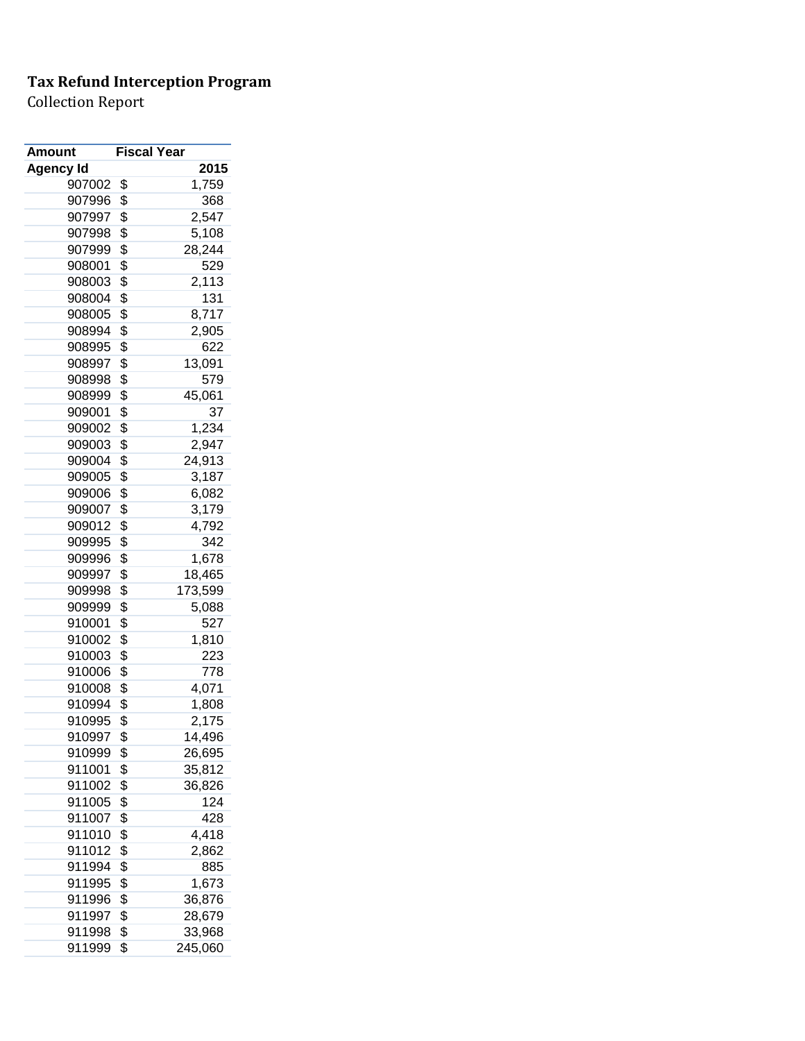| Amount           | <b>Fiscal Year</b> |         |
|------------------|--------------------|---------|
| <b>Agency Id</b> |                    | 2015    |
| 907002           | \$                 | 1,759   |
| 907996           | \$                 | 368     |
| 907997           | \$                 | 2,547   |
| 907998           | \$                 | 5,108   |
| 907999           | \$                 | 28,244  |
| 908001           | \$                 | 529     |
| 908003           | \$                 | 2,113   |
| 908004           | \$                 | 131     |
| 908005           | \$                 | 8,717   |
| 908994           | \$                 | 2,905   |
| 908995           | \$                 | 622     |
| 908997           | \$                 | 13,091  |
| 908998           | \$                 | 579     |
| 908999           | \$                 | 45,061  |
| 909001           | \$                 | 37      |
| 909002           | \$                 | 1,234   |
| 909003           | \$                 | 2,947   |
| 909004           | \$                 | 24,913  |
| 909005           | \$                 | 3,187   |
| 909006           | \$                 | 6,082   |
| 909007           | \$                 | 3,179   |
| 909012           | \$                 | 4,792   |
| 909995           | \$                 | 342     |
| 909996           | \$                 | 1,678   |
| 909997           | \$                 | 18,465  |
| 909998           | \$                 | 173,599 |
| 909999           | \$                 | 5,088   |
| 910001           | \$                 | 527     |
| 910002           | \$                 | 1,810   |
| 910003           | \$                 | 223     |
| 910006           | \$                 | 778     |
| 910008           | \$                 | 4,071   |
| 910994           | \$                 | 1,808   |
| 910995           | \$                 | 2,175   |
| 910997           | \$                 | 14,496  |
| 910999           | \$                 | 26,695  |
| 911001           | \$                 | 35,812  |
| 911002           | \$                 | 36,826  |
| 911005           | \$                 | 124     |
| 911007           | \$                 | 428     |
| 911010           | \$                 | 4,418   |
| 911012           | \$                 | 2,862   |
| 911994           | \$                 | 885     |
| 911995           | \$                 | 1,673   |
| 911996           | \$                 | 36,876  |
| 911997           | \$                 | 28,679  |
| 911998           | \$                 | 33,968  |
| 911999           | \$                 | 245,060 |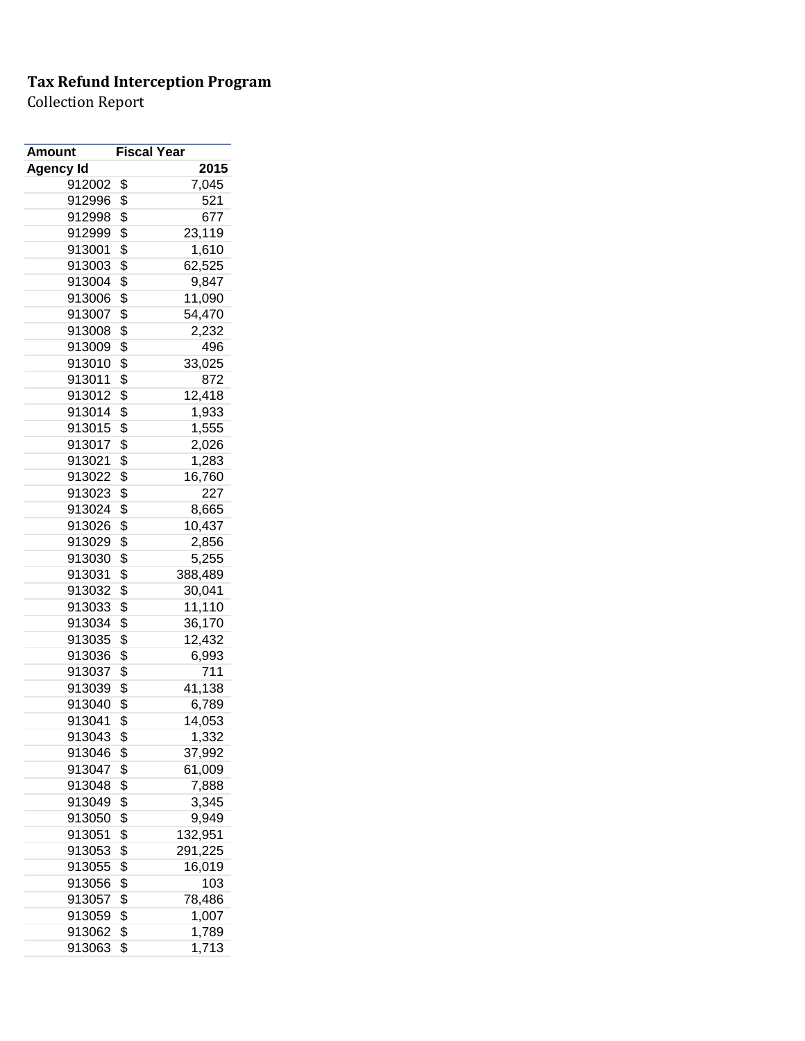| Amount           | <b>Fiscal Year</b> |         |
|------------------|--------------------|---------|
| <b>Agency Id</b> |                    | 2015    |
| 912002           | \$                 | 7,045   |
| 912996           | \$                 | 521     |
| 912998           | \$                 | 677     |
| 912999           | \$                 | 23,119  |
| 913001           | \$                 | 1,610   |
| 913003           | \$                 | 62,525  |
| 913004           | \$                 | 9,847   |
| 913006           | \$                 | 11,090  |
| 913007           | \$                 | 54,470  |
| 913008           | \$                 | 2,232   |
| 913009           | \$                 | 496     |
| 913010           | \$                 | 33,025  |
| 913011           | \$                 | 872     |
| 913012           | \$                 | 12,418  |
| 913014           | \$                 | 1,933   |
| 913015           | \$                 | 1,555   |
| 913017           | \$                 | 2,026   |
| 913021           | \$                 | 1,283   |
| 913022           | \$                 | 16,760  |
| 913023           | \$                 | 227     |
| 913024           | \$                 | 8,665   |
| 913026           | \$                 | 10,437  |
| 913029           | \$                 | 2,856   |
| 913030           | \$                 | 5,255   |
| 913031           | \$                 | 388,489 |
| 913032           | \$                 | 30,041  |
| 913033           | \$                 | 11,110  |
| 913034           | \$                 | 36,170  |
| 913035           | \$                 | 12,432  |
| 913036           | \$                 | 6,993   |
| 913037           | \$                 | 711     |
| 913039           | \$                 | 41,138  |
| 913040           | \$                 | 6,789   |
| 913041           | \$                 | 14,053  |
| 913043           | \$                 | 1,332   |
| 913046           | \$                 | 37,992  |
| 913047           | \$                 | 61,009  |
| 913048           | \$                 | 7,888   |
| 913049           | \$                 | 3,345   |
| 913050           | \$                 | 9,949   |
| 913051           | \$                 | 132,951 |
| 913053           | \$                 | 291,225 |
| 913055           | \$                 | 16,019  |
| 913056           | \$                 | 103     |
| 913057           | \$                 | 78,486  |
| 913059           | \$                 | 1,007   |
| 913062           | \$                 | 1,789   |
| 913063           | \$                 | 1,713   |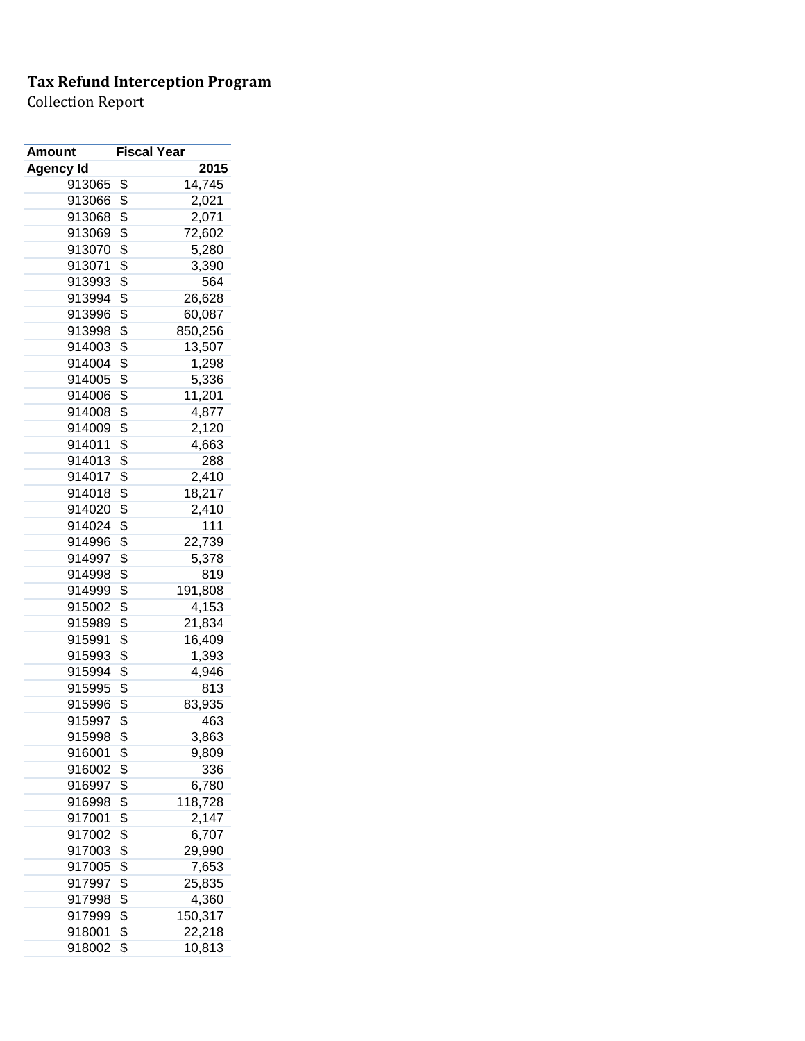| <b>Amount</b>    | <b>Fiscal Year</b> |                |
|------------------|--------------------|----------------|
| <b>Agency Id</b> |                    | 2015           |
| 913065           | \$                 | 14,745         |
| 913066           | \$                 | 2,021          |
| 913068           | \$                 | 2,071          |
| 913069           | \$                 | 72,602         |
| 913070           | \$                 | 5,280          |
| 913071           | \$                 | 3,390          |
| 913993           | \$                 | 564            |
| 913994           | \$                 | 26,628         |
| 913996           | \$                 | 60,087         |
| 913998           | \$                 | 850,256        |
| 914003           | \$                 | 13,507         |
| 914004           | \$                 | 1,298          |
| 914005           | \$                 | 5,336          |
| 914006           | \$                 | 11,201         |
| 914008           | \$                 | 4,877          |
| 914009           | \$                 | 2,120          |
| 914011           | \$                 | 4,663          |
| 914013           | \$                 | 288            |
| 914017           | \$                 | 2,410          |
| 914018           | \$                 | 18,217         |
| 914020           | \$                 | 2,410          |
| 914024           | \$                 | 111            |
| 914996           | \$                 | 22,739         |
| 914997           | \$                 | 5,378          |
| 914998           | \$                 | 819            |
| 914999           | \$                 | 191,808        |
| 915002           | \$                 | 4,153          |
| 915989           | \$                 | 21,834         |
| 915991           | \$                 | 16,409         |
| 915993           | \$                 | 1,393          |
| 915994           | \$                 | 4,946          |
| 915995           | \$                 | 813            |
| 915996           | \$                 | 83,935         |
| 915997           | \$                 | 463            |
| 915998           | \$                 | 3,863          |
| 916001           | \$                 | 9,809          |
| 916002           | \$                 | 336            |
| 916997           | \$                 | 6,780          |
| 916998           | \$                 | 118,728        |
|                  | \$                 |                |
| 917001<br>917002 | \$                 | 2,147<br>6,707 |
| 917003           | \$                 | 29,990         |
|                  |                    |                |
| 917005           | \$                 | 7,653          |
| 917997           | \$                 | 25,835         |
| 917998           | \$                 | 4,360          |
| 917999           | \$                 | 150,317        |
| 918001           | \$                 | 22,218         |
| 918002           | \$                 | 10,813         |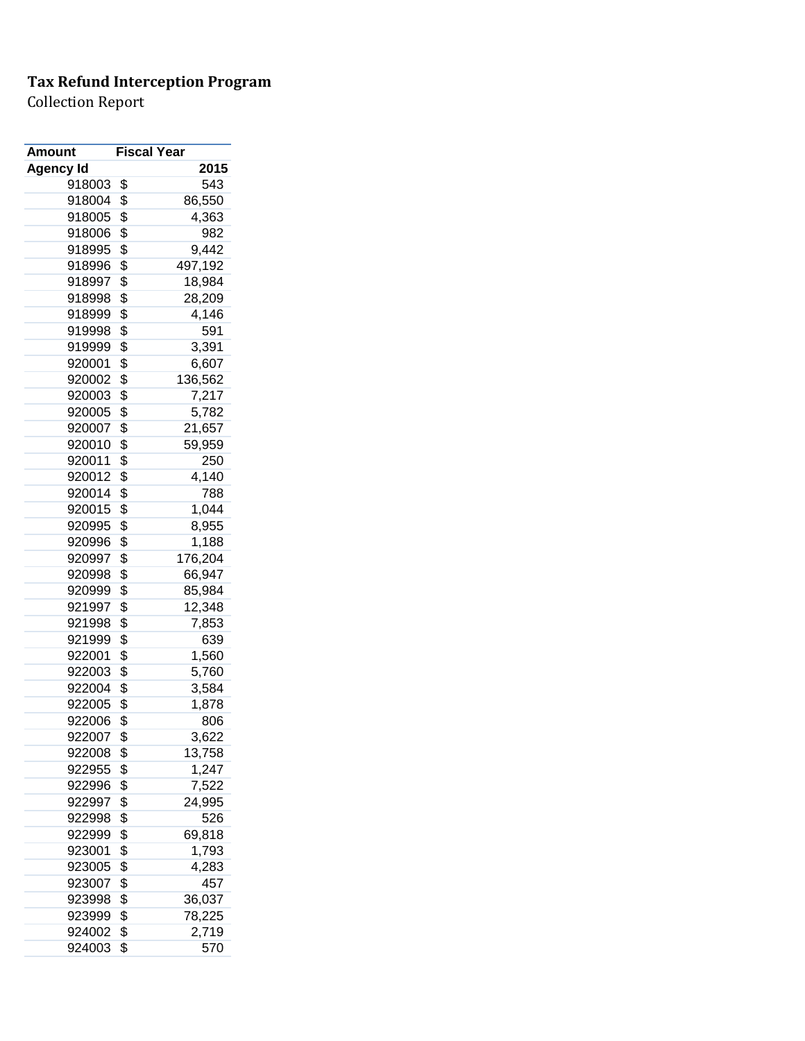| Amount           | <b>Fiscal Year</b> |              |
|------------------|--------------------|--------------|
| <b>Agency Id</b> |                    | 2015         |
| 918003           | \$                 | 543          |
| 918004           | \$                 | 86,550       |
| 918005           | \$                 | 4,363        |
| 918006           | \$                 | 982          |
| 918995           | \$                 | 9,442        |
| 918996           | \$                 | 497,192      |
| 918997           | \$                 | 18,984       |
| 918998           | \$                 | 28,209       |
| 918999           | \$                 | 4,146        |
| 919998           | \$                 | 591          |
| 919999           | \$                 | 3,391        |
| 920001           | \$                 | 6,607        |
| 920002           | \$                 | 136,562      |
| 920003           | \$                 | 7,217        |
| 920005           | \$                 | 5,782        |
| 920007           | \$                 | 21,657       |
| 920010           | \$                 | 59,959       |
| 920011           | \$                 | 250          |
| 920012           | \$                 | 4,140        |
| 920014           | \$                 | 788          |
| 920015           | \$                 | 1,044        |
| 920995           | \$                 | 8,955        |
| 920996           | \$                 | 1,188        |
| 920997           | \$                 | 176,204      |
| 920998           | \$                 | 66,947       |
| 920999           | \$                 | 85,984       |
| 921997           | \$                 | 12,348       |
| 921998           | \$                 | 7,853        |
| 921999           | \$                 | 639          |
| 922001           | \$                 | 1,560        |
| 922003           | \$                 | 5,760        |
| 922004           | \$                 | 3,584        |
| 922005           | \$                 | 1,878        |
| 922006           | \$                 | 806          |
| 922007           | \$                 | 3,622        |
| 922008           | \$                 | 13,758       |
| 922955           | \$                 | 1,247        |
| 922996           | \$                 | 7,522        |
| 922997           | \$                 | 24,995       |
| 922998           | \$                 | 526          |
| 922999           | \$                 | 69,818       |
| 923001           | \$                 | 1,793        |
|                  | \$                 |              |
| 923005<br>923007 | \$                 | 4,283<br>457 |
|                  | \$                 |              |
| 923998           |                    | 36,037       |
| 923999           | \$                 | 78,225       |
| 924002           | \$                 | 2,719        |
| 924003           | \$                 | 570          |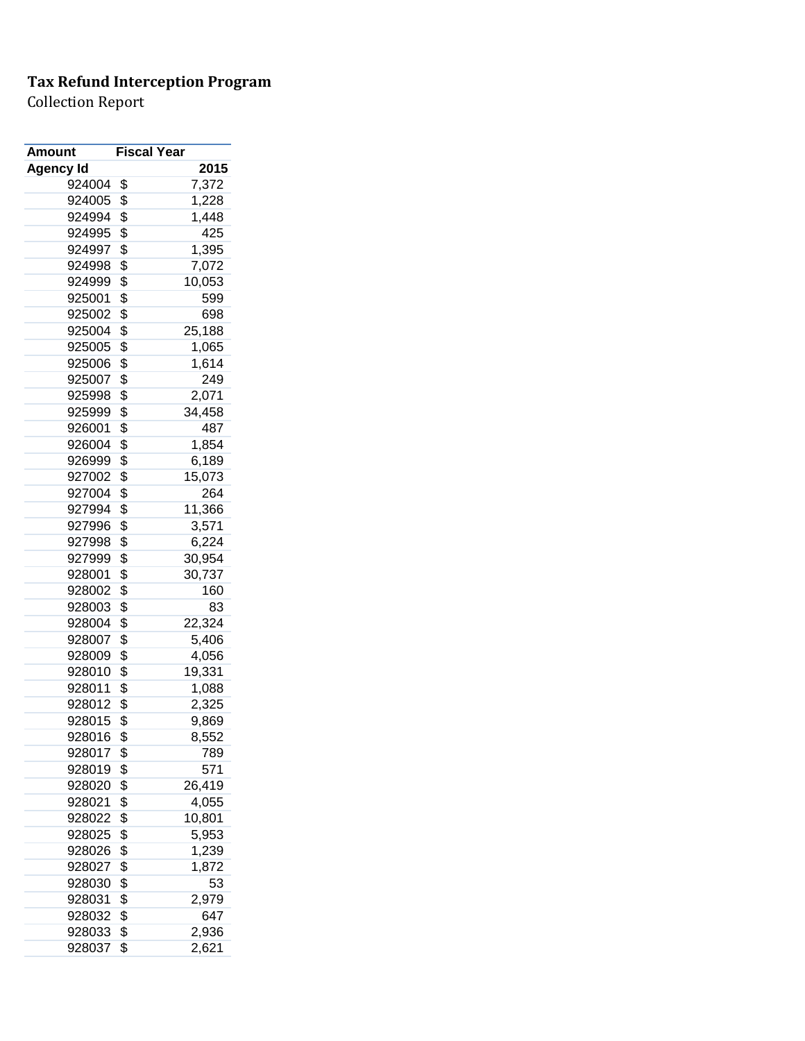| Amount           | <b>Fiscal Year</b> |        |
|------------------|--------------------|--------|
| <b>Agency Id</b> |                    | 2015   |
| 924004           | \$                 | 7,372  |
| 924005           | \$                 | 1,228  |
| 924994           | \$                 | 1,448  |
| 924995           | \$                 | 425    |
| 924997           | \$                 | 1,395  |
| 924998           | \$                 | 7,072  |
| 924999           | \$                 | 10,053 |
| 925001           | \$                 | 599    |
| 925002           | \$                 | 698    |
| 925004           | \$                 | 25,188 |
| 925005           | \$                 | 1,065  |
| 925006           | \$                 | 1,614  |
| 925007           | \$                 | 249    |
| 925998           | \$                 | 2,071  |
| 925999           | \$                 | 34,458 |
| 926001           | \$                 | 487    |
| 926004           | \$                 | 1,854  |
| 926999           | \$                 | 6,189  |
| 927002           | \$                 | 15,073 |
| 927004           | \$                 | 264    |
| 927994           | \$                 | 11,366 |
| 927996           | \$                 | 3,571  |
| 927998           | \$                 | 6,224  |
| 927999           | \$                 | 30,954 |
| 928001           | \$                 | 30,737 |
| 928002           | \$                 | 160    |
| 928003           | \$                 | 83     |
| 928004           | \$                 | 22,324 |
| 928007           | \$                 | 5,406  |
| 928009           | \$                 | 4,056  |
| 928010           | \$                 | 19,331 |
| 928011           | \$                 | 1,088  |
| 928012           | \$                 | 2,325  |
| 928015           | \$                 | 9,869  |
| 928016           | \$                 | 8,552  |
| 928017           | \$                 | 789    |
| 928019           | \$                 | 571    |
| 928020           | \$                 | 26,419 |
| 928021           | \$                 | 4,055  |
| 928022           | \$                 | 10,801 |
| 928025           | \$                 | 5,953  |
| 928026           | \$                 | 1,239  |
| 928027           | \$                 | 1,872  |
| 928030           | \$                 | 53     |
| 928031           | \$                 | 2,979  |
| 928032           | \$                 | 647    |
| 928033           | \$                 | 2,936  |
| 928037           | \$                 | 2,621  |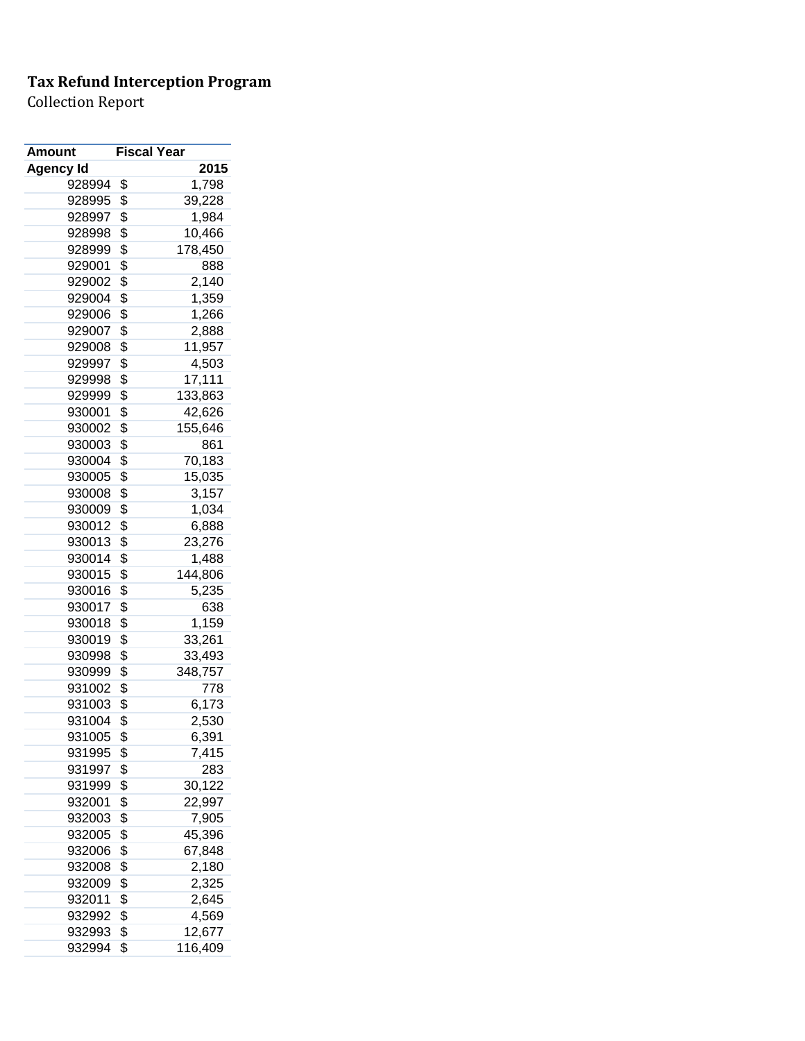| Amount           | <b>Fiscal Year</b> |         |
|------------------|--------------------|---------|
| <b>Agency Id</b> |                    | 2015    |
| 928994           | \$                 | 1,798   |
| 928995           | \$                 | 39,228  |
| 928997           | \$                 | 1,984   |
| 928998           | \$                 | 10,466  |
| 928999           | \$                 | 178,450 |
| 929001           | \$                 | 888     |
| 929002           | \$                 | 2,140   |
| 929004           | \$                 | 1,359   |
| 929006           | \$                 | 1,266   |
| 929007           | \$                 | 2,888   |
| 929008           | \$                 | 11,957  |
| 929997           | \$                 | 4,503   |
| 929998           | \$                 | 17,111  |
| 929999           | \$                 | 133,863 |
| 930001           | \$                 | 42,626  |
| 930002           | \$                 | 155,646 |
| 930003           | \$                 | 861     |
| 930004           | \$                 | 70,183  |
| 930005           | \$                 | 15,035  |
| 930008           | \$                 | 3,157   |
| 930009           | \$                 | 1,034   |
| 930012           | \$                 | 6,888   |
| 930013           | \$                 | 23,276  |
| 930014           | \$                 | 1,488   |
| 930015           | \$                 | 144,806 |
| 930016           | \$                 | 5,235   |
| 930017           | \$                 | 638     |
| 930018           | \$                 | 1,159   |
| 930019           | \$                 | 33,261  |
| 930998           | \$                 | 33,493  |
| 930999           | \$                 | 348,757 |
| 931002           | \$                 | 778     |
| 931003           | \$                 | 6,173   |
| 931004           | \$                 | 2,530   |
| 931005           | \$                 | 6,391   |
| 931995           | \$                 | 7,415   |
| 931997           | \$                 | 283     |
| 931999           | \$                 | 30,122  |
| 932001           | \$                 | 22,997  |
| 932003           | \$                 | 7,905   |
| 932005           | \$                 | 45,396  |
| 932006           | \$                 | 67,848  |
| 932008           | \$                 | 2,180   |
| 932009           | \$                 | 2,325   |
| 932011           | \$                 | 2,645   |
| 932992           | \$                 | 4,569   |
| 932993           | \$                 | 12,677  |
| 932994           | \$                 | 116,409 |
|                  |                    |         |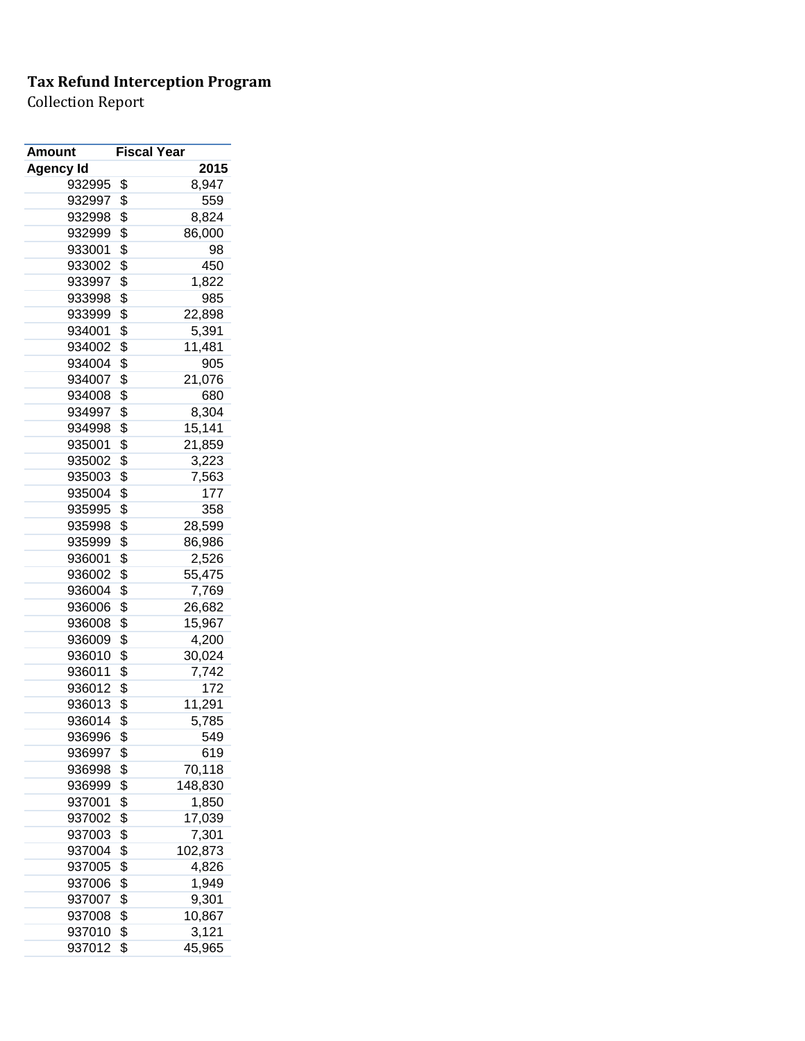| Amount           | <b>Fiscal Year</b> |         |
|------------------|--------------------|---------|
| <b>Agency Id</b> |                    | 2015    |
| 932995           | \$                 | 8,947   |
| 932997           | \$                 | 559     |
| 932998           | \$                 | 8,824   |
| 932999           | \$                 | 86,000  |
| 933001           | \$                 | 98      |
| 933002           | \$                 | 450     |
| 933997           | \$                 | 1,822   |
| 933998           | \$                 | 985     |
| 933999           | \$                 | 22,898  |
| 934001           | \$                 | 5,391   |
| 934002           | \$                 | 11,481  |
| 934004           | \$                 | 905     |
| 934007           | \$                 | 21,076  |
| 934008           | \$                 | 680     |
| 934997           | \$                 | 8,304   |
| 934998           | \$                 | 15,141  |
| 935001           | \$                 | 21,859  |
| 935002           | \$                 | 3,223   |
| 935003           | \$                 | 7,563   |
| 935004           | \$                 | 177     |
| 935995           | \$                 | 358     |
| 935998           | \$                 | 28,599  |
| 935999           | \$                 | 86,986  |
| 936001           | \$                 | 2,526   |
| 936002           | \$                 | 55,475  |
| 936004           | \$                 | 7,769   |
| 936006           | \$                 | 26,682  |
| 936008           | \$                 | 15,967  |
| 936009           | \$                 | 4,200   |
| 936010           | \$                 | 30,024  |
| 936011           | \$                 | 7,742   |
| 936012           | \$                 | 172     |
| 936013           | \$                 | 11,291  |
| 936014           | \$                 | 5,785   |
| 936996           | \$                 | 549     |
| 936997           | \$                 | 619     |
| 936998           | \$                 | 70,118  |
| 936999           | \$                 | 148,830 |
| 937001           | \$                 | 1,850   |
| 937002           | \$                 | 17,039  |
| 937003           | \$                 | 7,301   |
|                  | \$                 | 102,873 |
| 937004           |                    | 4,826   |
| 937005           | \$                 |         |
| 937006           | \$                 | 1,949   |
| 937007           | \$                 | 9,301   |
| 937008           | \$                 | 10,867  |
| 937010           | \$                 | 3,121   |
| 937012           | \$                 | 45,965  |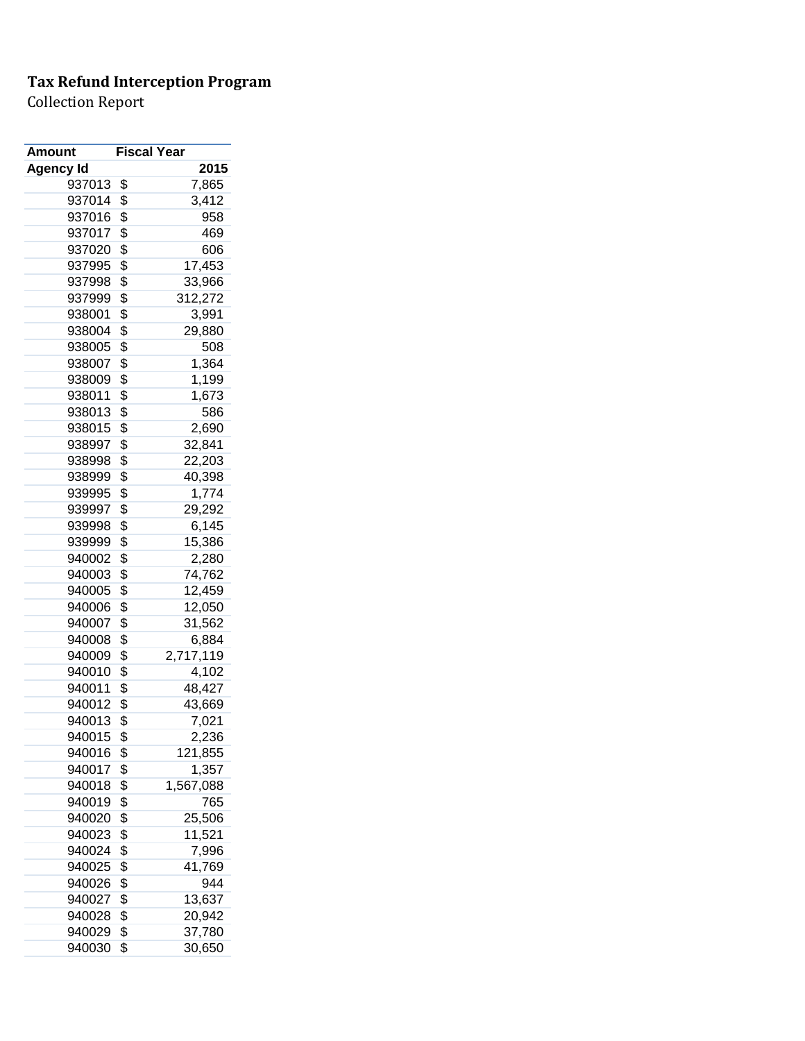| Amount           | <b>Fiscal Year</b> |           |
|------------------|--------------------|-----------|
| <b>Agency Id</b> |                    | 2015      |
| 937013           | \$                 | 7,865     |
| 937014           | \$                 | 3,412     |
| 937016           | \$                 | 958       |
| 937017           | \$                 | 469       |
| 937020           | \$                 | 606       |
| 937995           | \$                 | 17,453    |
| 937998           | \$                 | 33,966    |
| 937999           | \$                 | 312,272   |
| 938001           | \$                 | 3,991     |
| 938004           | \$                 | 29,880    |
| 938005           | \$                 | 508       |
| 938007           | \$                 | 1,364     |
| 938009           | \$                 | 1,199     |
| 938011           | \$                 | 1,673     |
| 938013           | \$                 | 586       |
| 938015           | \$                 | 2,690     |
| 938997           | \$                 | 32,841    |
| 938998           | \$                 | 22,203    |
| 938999           | \$                 | 40,398    |
| 939995           | \$                 | 1,774     |
| 939997           | \$                 | 29,292    |
| 939998           | \$                 | 6,145     |
| 939999           | \$                 | 15,386    |
| 940002           | \$                 | 2,280     |
| 940003           | \$                 | 74,762    |
| 940005           | \$                 | 12,459    |
| 940006           | \$                 | 12,050    |
| 940007           | \$                 | 31,562    |
| 940008           | \$                 | 6,884     |
| 940009           | \$                 | 2,717,119 |
| 940010           | \$                 | 4,102     |
| 940011           | \$                 | 48,427    |
| 940012           | \$                 | 43,669    |
| 940013           | \$                 | 7,021     |
| 940015           | \$                 | 2,236     |
| 940016           | \$                 | 121,855   |
| 940017           | \$                 | 1,357     |
| 940018           | \$                 | 1,567,088 |
| 940019           | \$                 | 765       |
| 940020           | \$                 |           |
| 940023           |                    | 25,506    |
|                  | \$<br>\$           | 11,521    |
| 940024           |                    | 7,996     |
| 940025           | \$                 | 41,769    |
| 940026           | \$                 | 944       |
| 940027           | \$                 | 13,637    |
| 940028           | \$                 | 20,942    |
| 940029           | \$                 | 37,780    |
| 940030           | \$                 | 30,650    |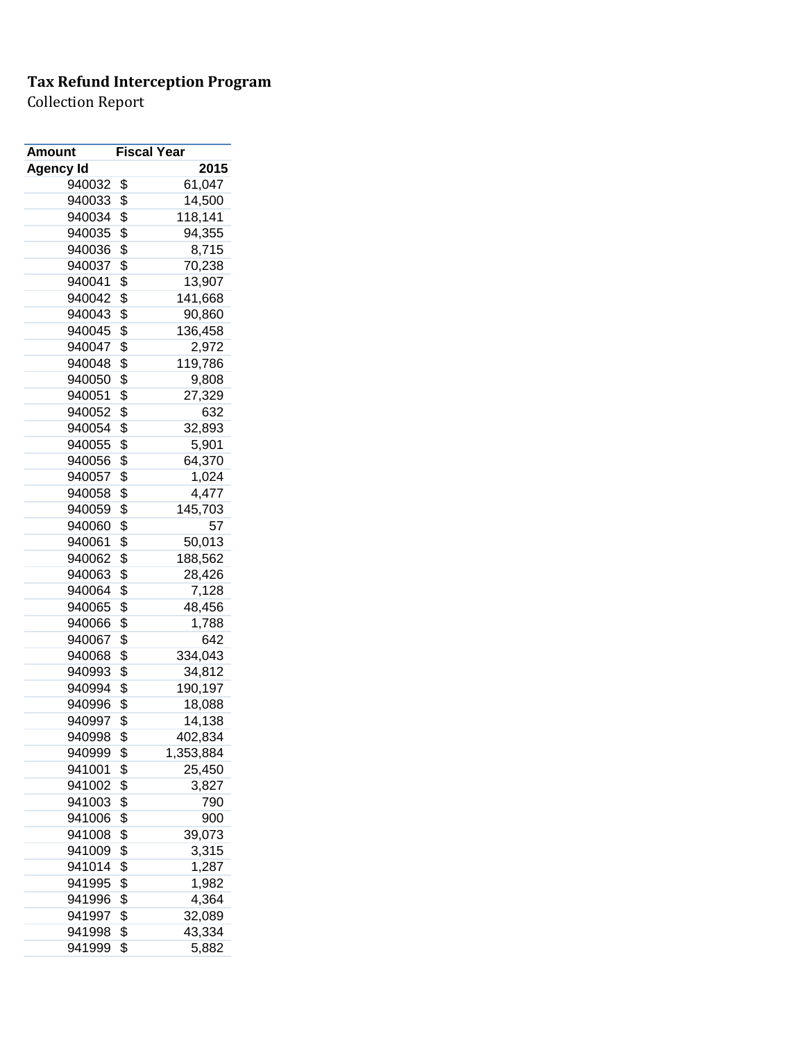| 2015<br>Agency Id<br>940032<br>\$<br>61,047<br>\$<br>14,500<br>940033<br>118,141<br>\$<br>940034<br>\$<br>94,355<br>940035<br>\$<br>940036<br>8,715<br>\$<br>940037<br>70,238<br>\$<br>940041<br>13,907<br>\$<br>940042<br>141,668<br>\$<br>940043<br>90,860<br>\$<br>940045<br>136,458<br>\$<br>940047<br>2,972<br>\$<br>940048<br>119,786<br>\$<br>940050<br>9,808<br>\$<br>940051<br>27,329<br>\$<br>940052<br>632<br>\$<br>940054<br>32,893<br>\$<br>5,901<br>940055<br>\$<br>64,370<br>940056<br>\$<br>940057<br>1,024<br>\$<br>940058<br>4,477<br>\$<br>940059<br>145,703<br>\$<br>940060<br>57<br>\$<br>940061<br>50,013<br>\$<br>940062<br>188,562<br>\$<br>940063<br>28,426<br>\$<br>940064<br>7,128<br>\$<br>940065<br>48,456<br>\$<br>940066<br>1,788<br>\$<br>940067<br>642<br>\$<br>940068<br>334,043<br>\$<br>940993<br>34,812<br>\$<br>190,197<br>940994<br>\$<br>18,088<br>940996<br>940997<br>\$<br>14,138<br>\$<br>402,834<br>940998<br>940999<br>\$<br>1,353,884<br>\$<br>25,450<br>941001<br>\$<br>941002<br>3,827<br>\$<br>790<br>941003<br>\$<br>941006<br>900<br>\$<br>941008<br>39,073<br>\$<br>941009<br>3,315<br>941014<br>\$<br>1,287<br>\$<br>941995<br>1,982<br>\$<br>4,364<br>941996 | <b>Amount</b> | <b>Fiscal Year</b> |        |
|--------------------------------------------------------------------------------------------------------------------------------------------------------------------------------------------------------------------------------------------------------------------------------------------------------------------------------------------------------------------------------------------------------------------------------------------------------------------------------------------------------------------------------------------------------------------------------------------------------------------------------------------------------------------------------------------------------------------------------------------------------------------------------------------------------------------------------------------------------------------------------------------------------------------------------------------------------------------------------------------------------------------------------------------------------------------------------------------------------------------------------------------------------------------------------------------------------------------|---------------|--------------------|--------|
|                                                                                                                                                                                                                                                                                                                                                                                                                                                                                                                                                                                                                                                                                                                                                                                                                                                                                                                                                                                                                                                                                                                                                                                                                    |               |                    |        |
|                                                                                                                                                                                                                                                                                                                                                                                                                                                                                                                                                                                                                                                                                                                                                                                                                                                                                                                                                                                                                                                                                                                                                                                                                    |               |                    |        |
|                                                                                                                                                                                                                                                                                                                                                                                                                                                                                                                                                                                                                                                                                                                                                                                                                                                                                                                                                                                                                                                                                                                                                                                                                    |               |                    |        |
|                                                                                                                                                                                                                                                                                                                                                                                                                                                                                                                                                                                                                                                                                                                                                                                                                                                                                                                                                                                                                                                                                                                                                                                                                    |               |                    |        |
|                                                                                                                                                                                                                                                                                                                                                                                                                                                                                                                                                                                                                                                                                                                                                                                                                                                                                                                                                                                                                                                                                                                                                                                                                    |               |                    |        |
|                                                                                                                                                                                                                                                                                                                                                                                                                                                                                                                                                                                                                                                                                                                                                                                                                                                                                                                                                                                                                                                                                                                                                                                                                    |               |                    |        |
|                                                                                                                                                                                                                                                                                                                                                                                                                                                                                                                                                                                                                                                                                                                                                                                                                                                                                                                                                                                                                                                                                                                                                                                                                    |               |                    |        |
|                                                                                                                                                                                                                                                                                                                                                                                                                                                                                                                                                                                                                                                                                                                                                                                                                                                                                                                                                                                                                                                                                                                                                                                                                    |               |                    |        |
|                                                                                                                                                                                                                                                                                                                                                                                                                                                                                                                                                                                                                                                                                                                                                                                                                                                                                                                                                                                                                                                                                                                                                                                                                    |               |                    |        |
|                                                                                                                                                                                                                                                                                                                                                                                                                                                                                                                                                                                                                                                                                                                                                                                                                                                                                                                                                                                                                                                                                                                                                                                                                    |               |                    |        |
|                                                                                                                                                                                                                                                                                                                                                                                                                                                                                                                                                                                                                                                                                                                                                                                                                                                                                                                                                                                                                                                                                                                                                                                                                    |               |                    |        |
|                                                                                                                                                                                                                                                                                                                                                                                                                                                                                                                                                                                                                                                                                                                                                                                                                                                                                                                                                                                                                                                                                                                                                                                                                    |               |                    |        |
|                                                                                                                                                                                                                                                                                                                                                                                                                                                                                                                                                                                                                                                                                                                                                                                                                                                                                                                                                                                                                                                                                                                                                                                                                    |               |                    |        |
|                                                                                                                                                                                                                                                                                                                                                                                                                                                                                                                                                                                                                                                                                                                                                                                                                                                                                                                                                                                                                                                                                                                                                                                                                    |               |                    |        |
|                                                                                                                                                                                                                                                                                                                                                                                                                                                                                                                                                                                                                                                                                                                                                                                                                                                                                                                                                                                                                                                                                                                                                                                                                    |               |                    |        |
|                                                                                                                                                                                                                                                                                                                                                                                                                                                                                                                                                                                                                                                                                                                                                                                                                                                                                                                                                                                                                                                                                                                                                                                                                    |               |                    |        |
|                                                                                                                                                                                                                                                                                                                                                                                                                                                                                                                                                                                                                                                                                                                                                                                                                                                                                                                                                                                                                                                                                                                                                                                                                    |               |                    |        |
|                                                                                                                                                                                                                                                                                                                                                                                                                                                                                                                                                                                                                                                                                                                                                                                                                                                                                                                                                                                                                                                                                                                                                                                                                    |               |                    |        |
|                                                                                                                                                                                                                                                                                                                                                                                                                                                                                                                                                                                                                                                                                                                                                                                                                                                                                                                                                                                                                                                                                                                                                                                                                    |               |                    |        |
|                                                                                                                                                                                                                                                                                                                                                                                                                                                                                                                                                                                                                                                                                                                                                                                                                                                                                                                                                                                                                                                                                                                                                                                                                    |               |                    |        |
|                                                                                                                                                                                                                                                                                                                                                                                                                                                                                                                                                                                                                                                                                                                                                                                                                                                                                                                                                                                                                                                                                                                                                                                                                    |               |                    |        |
|                                                                                                                                                                                                                                                                                                                                                                                                                                                                                                                                                                                                                                                                                                                                                                                                                                                                                                                                                                                                                                                                                                                                                                                                                    |               |                    |        |
|                                                                                                                                                                                                                                                                                                                                                                                                                                                                                                                                                                                                                                                                                                                                                                                                                                                                                                                                                                                                                                                                                                                                                                                                                    |               |                    |        |
|                                                                                                                                                                                                                                                                                                                                                                                                                                                                                                                                                                                                                                                                                                                                                                                                                                                                                                                                                                                                                                                                                                                                                                                                                    |               |                    |        |
|                                                                                                                                                                                                                                                                                                                                                                                                                                                                                                                                                                                                                                                                                                                                                                                                                                                                                                                                                                                                                                                                                                                                                                                                                    |               |                    |        |
|                                                                                                                                                                                                                                                                                                                                                                                                                                                                                                                                                                                                                                                                                                                                                                                                                                                                                                                                                                                                                                                                                                                                                                                                                    |               |                    |        |
|                                                                                                                                                                                                                                                                                                                                                                                                                                                                                                                                                                                                                                                                                                                                                                                                                                                                                                                                                                                                                                                                                                                                                                                                                    |               |                    |        |
|                                                                                                                                                                                                                                                                                                                                                                                                                                                                                                                                                                                                                                                                                                                                                                                                                                                                                                                                                                                                                                                                                                                                                                                                                    |               |                    |        |
|                                                                                                                                                                                                                                                                                                                                                                                                                                                                                                                                                                                                                                                                                                                                                                                                                                                                                                                                                                                                                                                                                                                                                                                                                    |               |                    |        |
|                                                                                                                                                                                                                                                                                                                                                                                                                                                                                                                                                                                                                                                                                                                                                                                                                                                                                                                                                                                                                                                                                                                                                                                                                    |               |                    |        |
|                                                                                                                                                                                                                                                                                                                                                                                                                                                                                                                                                                                                                                                                                                                                                                                                                                                                                                                                                                                                                                                                                                                                                                                                                    |               |                    |        |
|                                                                                                                                                                                                                                                                                                                                                                                                                                                                                                                                                                                                                                                                                                                                                                                                                                                                                                                                                                                                                                                                                                                                                                                                                    |               |                    |        |
|                                                                                                                                                                                                                                                                                                                                                                                                                                                                                                                                                                                                                                                                                                                                                                                                                                                                                                                                                                                                                                                                                                                                                                                                                    |               |                    |        |
|                                                                                                                                                                                                                                                                                                                                                                                                                                                                                                                                                                                                                                                                                                                                                                                                                                                                                                                                                                                                                                                                                                                                                                                                                    |               |                    |        |
|                                                                                                                                                                                                                                                                                                                                                                                                                                                                                                                                                                                                                                                                                                                                                                                                                                                                                                                                                                                                                                                                                                                                                                                                                    |               |                    |        |
|                                                                                                                                                                                                                                                                                                                                                                                                                                                                                                                                                                                                                                                                                                                                                                                                                                                                                                                                                                                                                                                                                                                                                                                                                    |               |                    |        |
|                                                                                                                                                                                                                                                                                                                                                                                                                                                                                                                                                                                                                                                                                                                                                                                                                                                                                                                                                                                                                                                                                                                                                                                                                    |               |                    |        |
|                                                                                                                                                                                                                                                                                                                                                                                                                                                                                                                                                                                                                                                                                                                                                                                                                                                                                                                                                                                                                                                                                                                                                                                                                    |               |                    |        |
|                                                                                                                                                                                                                                                                                                                                                                                                                                                                                                                                                                                                                                                                                                                                                                                                                                                                                                                                                                                                                                                                                                                                                                                                                    |               |                    |        |
|                                                                                                                                                                                                                                                                                                                                                                                                                                                                                                                                                                                                                                                                                                                                                                                                                                                                                                                                                                                                                                                                                                                                                                                                                    |               |                    |        |
|                                                                                                                                                                                                                                                                                                                                                                                                                                                                                                                                                                                                                                                                                                                                                                                                                                                                                                                                                                                                                                                                                                                                                                                                                    |               |                    |        |
|                                                                                                                                                                                                                                                                                                                                                                                                                                                                                                                                                                                                                                                                                                                                                                                                                                                                                                                                                                                                                                                                                                                                                                                                                    |               |                    |        |
|                                                                                                                                                                                                                                                                                                                                                                                                                                                                                                                                                                                                                                                                                                                                                                                                                                                                                                                                                                                                                                                                                                                                                                                                                    |               |                    |        |
|                                                                                                                                                                                                                                                                                                                                                                                                                                                                                                                                                                                                                                                                                                                                                                                                                                                                                                                                                                                                                                                                                                                                                                                                                    |               |                    |        |
|                                                                                                                                                                                                                                                                                                                                                                                                                                                                                                                                                                                                                                                                                                                                                                                                                                                                                                                                                                                                                                                                                                                                                                                                                    |               |                    |        |
|                                                                                                                                                                                                                                                                                                                                                                                                                                                                                                                                                                                                                                                                                                                                                                                                                                                                                                                                                                                                                                                                                                                                                                                                                    |               |                    |        |
|                                                                                                                                                                                                                                                                                                                                                                                                                                                                                                                                                                                                                                                                                                                                                                                                                                                                                                                                                                                                                                                                                                                                                                                                                    |               |                    |        |
|                                                                                                                                                                                                                                                                                                                                                                                                                                                                                                                                                                                                                                                                                                                                                                                                                                                                                                                                                                                                                                                                                                                                                                                                                    | 941997        | \$                 | 32,089 |
| \$<br>43,334<br>941998                                                                                                                                                                                                                                                                                                                                                                                                                                                                                                                                                                                                                                                                                                                                                                                                                                                                                                                                                                                                                                                                                                                                                                                             |               |                    |        |
| \$<br>941999<br>5,882                                                                                                                                                                                                                                                                                                                                                                                                                                                                                                                                                                                                                                                                                                                                                                                                                                                                                                                                                                                                                                                                                                                                                                                              |               |                    |        |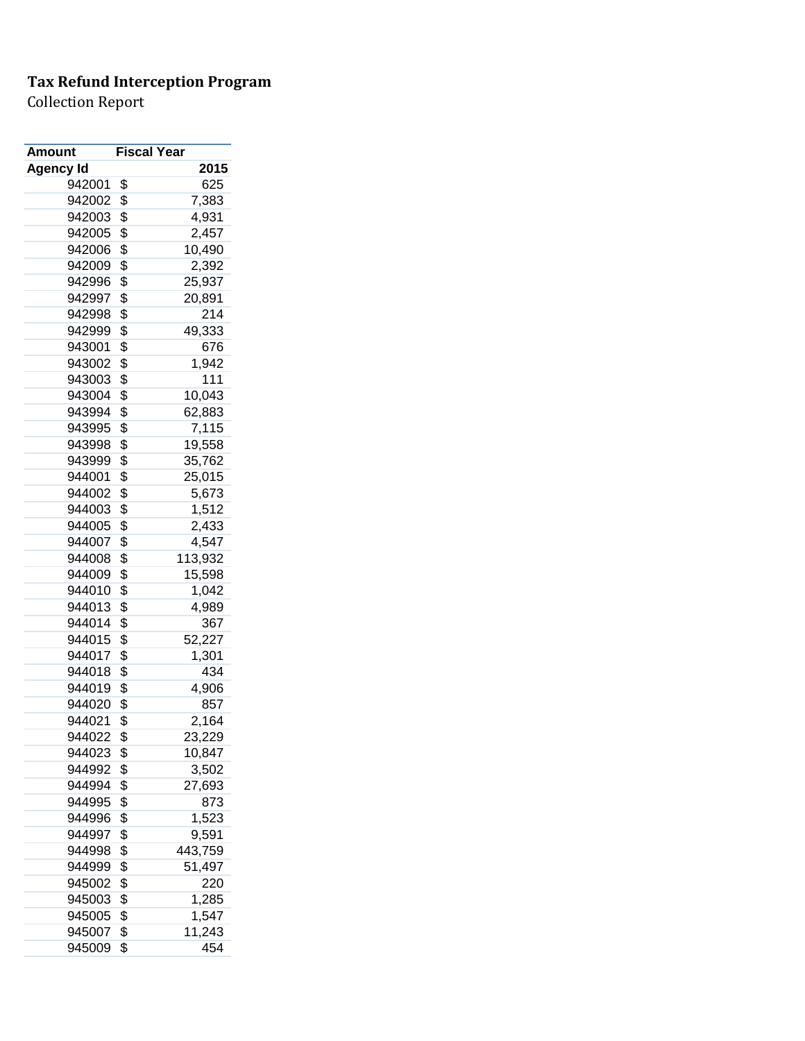| Amount           | <b>Fiscal Year</b> |                  |
|------------------|--------------------|------------------|
| <b>Agency Id</b> |                    | 2015             |
| 942001           | \$                 | 625              |
| 942002           | \$                 | 7,383            |
| 942003           | \$                 | 4,931            |
| 942005           | \$                 | 2,457            |
| 942006           | \$                 | 10,490           |
| 942009           | \$                 | 2,392            |
| 942996           | \$                 | 25,937           |
| 942997           | \$                 | 20,891           |
| 942998           | \$                 | 214              |
| 942999           | \$                 | 49,333           |
| 943001           | \$                 | 676              |
| 943002           | \$                 | 1,942            |
| 943003           | \$                 | 111              |
| 943004           | \$                 | 10,043           |
| 943994           | \$                 | 62,883           |
| 943995           | \$                 | 7,115            |
| 943998           | \$                 | 19,558           |
| 943999           | \$                 | 35,762           |
| 944001           | \$                 | 25,015           |
| 944002           | \$                 | 5,673            |
| 944003           | \$                 | 1,512            |
| 944005           | \$                 | 2,433            |
| 944007           | \$                 | 4,547            |
| 944008           | \$                 | 113,932          |
| 944009           | \$                 | 15,598           |
| 944010           | \$                 | 1,042            |
| 944013           | \$                 | 4,989            |
| 944014           | \$                 | 367              |
| 944015           | \$                 | 52,227           |
| 944017           | \$                 | 1,301            |
| 944018           | \$                 | 434              |
| 944019           | \$                 | 4,906            |
| 944020           | \$                 | 857              |
| 944021           | \$                 | 2,164            |
| 944022           | \$                 | 23,229           |
| 944023           | \$                 | 10,847           |
| 944992           | \$                 | 3,502            |
| 944994           | \$                 | 27,693           |
| 944995           | \$                 | 873              |
| 944996           | \$                 | 1,523            |
| 944997           | \$                 |                  |
| 944998           |                    | 9,591<br>443,759 |
|                  | \$                 |                  |
| 944999           | \$                 | 51,497           |
| 945002           | \$                 | 220              |
| 945003           | \$                 | 1,285            |
| 945005           | \$                 | 1,547            |
| 945007           | \$                 | 11,243           |
| 945009           | \$                 | 454              |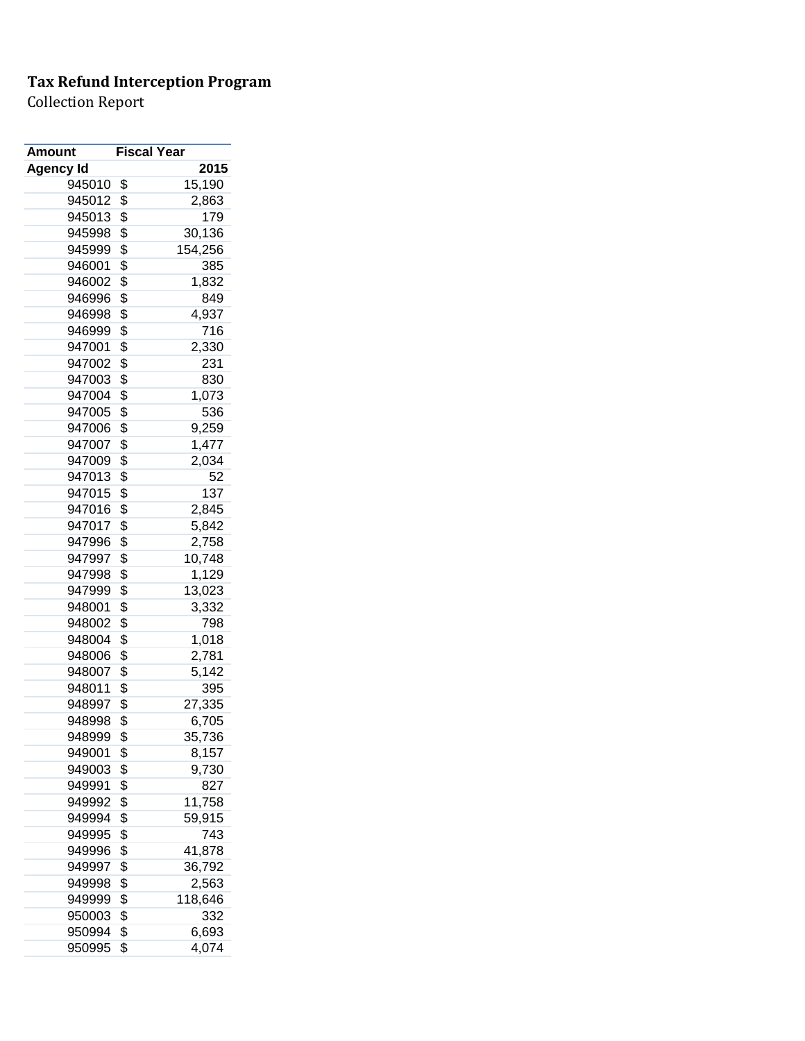| <b>Amount</b>    | <b>Fiscal Year</b> |
|------------------|--------------------|
| <b>Agency Id</b> | 2015               |
| 945010           | \$<br>15,190       |
| 945012           | \$<br>2,863        |
| 945013           | \$<br>179          |
| 945998           | \$<br>30,136       |
| 945999           | \$<br>154,256      |
| 946001           | \$<br>385          |
| 946002           | \$<br>1,832        |
| 946996           | \$<br>849          |
| 946998           | \$<br>4,937        |
| 946999           | \$<br>716          |
| 947001           | \$<br>2,330        |
| 947002           | \$<br>231          |
| 947003           | \$<br>830          |
| 947004           | \$<br>1,073        |
| 947005           | \$<br>536          |
| 947006           | \$<br>9,259        |
| 947007           | \$<br>1,477        |
| 947009           | \$<br>2,034        |
| 947013           | \$<br>52           |
| 947015           | \$<br>137          |
| 947016           | \$<br>2,845        |
| 947017           | \$<br>5,842        |
| 947996           | \$<br>2,758        |
| 947997           | \$<br>10,748       |
| 947998           | \$<br>1,129        |
| 947999           | \$<br>13,023       |
| 948001           | \$<br>3,332        |
| 948002           | \$<br>798          |
| 948004           | \$<br>1,018        |
| 948006           | \$<br>2,781        |
| 948007           | \$<br>5,142        |
| 948011           | \$<br>395          |
| 948997           | \$<br>27,335       |
| 948998           | \$<br>6,705        |
| 948999           | \$<br>35,736       |
| 949001           | \$<br>8,157        |
| 949003           | \$<br>9,730        |
| 949991           | \$<br>827          |
| 949992           | \$<br>11,758       |
| 949994           | \$<br>59,915       |
| 949995           | \$<br>743          |
| 949996           | \$<br>41,878       |
| 949997           | \$<br>36,792       |
| 949998           | \$<br>2,563        |
| 949999           | \$<br>118,646      |
| 950003           | \$<br>332          |
| 950994           | \$<br>6,693        |
| 950995           | \$<br>4,074        |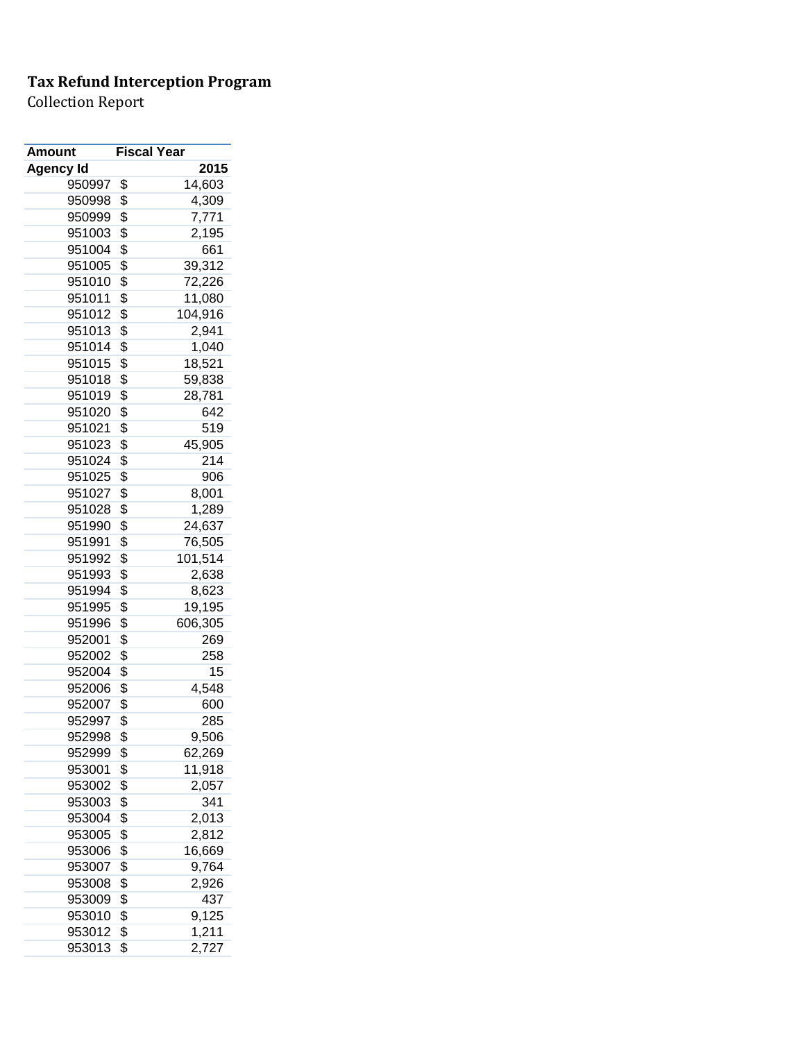| Amount           | <b>Fiscal Year</b> |         |
|------------------|--------------------|---------|
| <b>Agency Id</b> |                    | 2015    |
| 950997           | \$                 | 14,603  |
| 950998           | \$                 | 4,309   |
| 950999           | \$                 | 7,771   |
| 951003           | \$                 | 2,195   |
| 951004           | \$                 | 661     |
| 951005           | \$                 | 39,312  |
| 951010           | \$                 | 72,226  |
| 951011           | \$                 | 11,080  |
| 951012           | \$                 | 104,916 |
| 951013           | \$                 | 2,941   |
| 951014           | \$                 | 1,040   |
| 951015           | \$                 | 18,521  |
| 951018           | \$                 | 59,838  |
| 951019           | \$                 | 28,781  |
| 951020           | \$                 | 642     |
| 951021           | \$                 | 519     |
| 951023           | \$                 | 45,905  |
| 951024           | \$                 | 214     |
| 951025           | \$                 | 906     |
| 951027           | \$                 | 8,001   |
| 951028           | \$                 | 1,289   |
| 951990           | \$                 | 24,637  |
| 951991           | \$                 | 76,505  |
| 951992           | \$                 | 101,514 |
| 951993           | \$                 | 2,638   |
| 951994           | \$                 | 8,623   |
| 951995           | \$                 | 19,195  |
| 951996           | \$                 | 606,305 |
| 952001           | \$                 | 269     |
| 952002           | \$                 | 258     |
| 952004           | \$                 | 15      |
| 952006           | \$                 | 4,548   |
| 952007           | \$                 | 600     |
| 952997           | \$                 | 285     |
| 952998           | \$                 | 9,506   |
| 952999           | \$                 | 62,269  |
| 953001           | \$                 | 11,918  |
| 953002           | \$                 | 2,057   |
| 953003           | \$                 | 341     |
| 953004           | \$                 | 2,013   |
| 953005           | \$                 | 2,812   |
| 953006           | \$                 | 16,669  |
| 953007           | \$                 | 9,764   |
|                  |                    |         |
| 953008           | \$                 | 2,926   |
| 953009           | \$                 | 437     |
| 953010           | \$                 | 9,125   |
| 953012           | \$                 | 1,211   |
| 953013           | \$                 | 2,727   |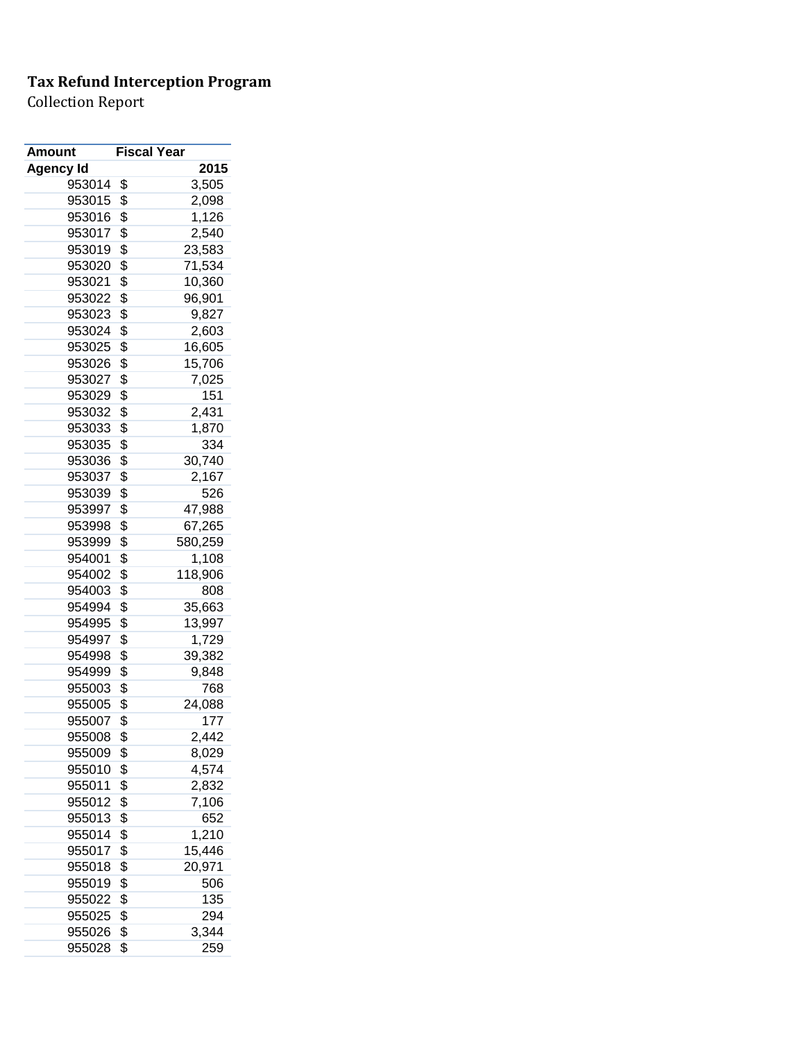| Amount    | <b>Fiscal Year</b> |              |
|-----------|--------------------|--------------|
| Agency Id |                    | 2015         |
| 953014    | \$                 | 3,505        |
| 953015    | \$                 | 2,098        |
| 953016    | \$                 | 1,126        |
| 953017    | \$                 | 2,540        |
| 953019    | \$                 | 23,583       |
| 953020    | \$                 | 71,534       |
| 953021    | \$                 | 10,360       |
| 953022    | \$                 | 96,901       |
| 953023    | \$                 | 9,827        |
| 953024    | \$                 | 2,603        |
| 953025    | \$                 | 16,605       |
| 953026    | \$                 | 15,706       |
| 953027    | \$                 | 7,025        |
| 953029    | \$                 | 151          |
| 953032    | \$                 | 2,431        |
| 953033    | \$                 | 1,870        |
| 953035    | \$                 | 334          |
| 953036    | \$                 | 30,740       |
| 953037    | \$                 | 2,167        |
| 953039    | \$                 | 526          |
| 953997    | \$                 | 47,988       |
| 953998    | \$                 | 67,265       |
| 953999    | \$                 | 580,259      |
| 954001    | \$                 | 1,108        |
| 954002    | \$                 | 118,906      |
| 954003    | \$                 | 808          |
| 954994    | \$                 | 35,663       |
| 954995    | \$                 | 13,997       |
| 954997    | \$                 | 1,729        |
| 954998    | \$                 | 39,382       |
| 954999    | \$                 | 9,848        |
| 955003    | \$                 | 768          |
| 955005    | \$                 | 24,088       |
| 955007    | \$                 | 177          |
| 955008    | \$                 | 2,442        |
| 955009    | \$                 | 8,029        |
| 955010    | \$                 | 4,574        |
| 955011    | \$                 | 2,832        |
| 955012    | \$                 | 7,106        |
| 955013    | \$                 |              |
| 955014    | \$                 | 652<br>1,210 |
| 955017    | \$                 | 15,446       |
|           |                    | 20,971       |
| 955018    | \$                 |              |
| 955019    | \$                 | 506          |
| 955022    | \$                 | 135          |
| 955025    | \$                 | 294          |
| 955026    | \$                 | 3,344        |
| 955028    | \$                 | 259          |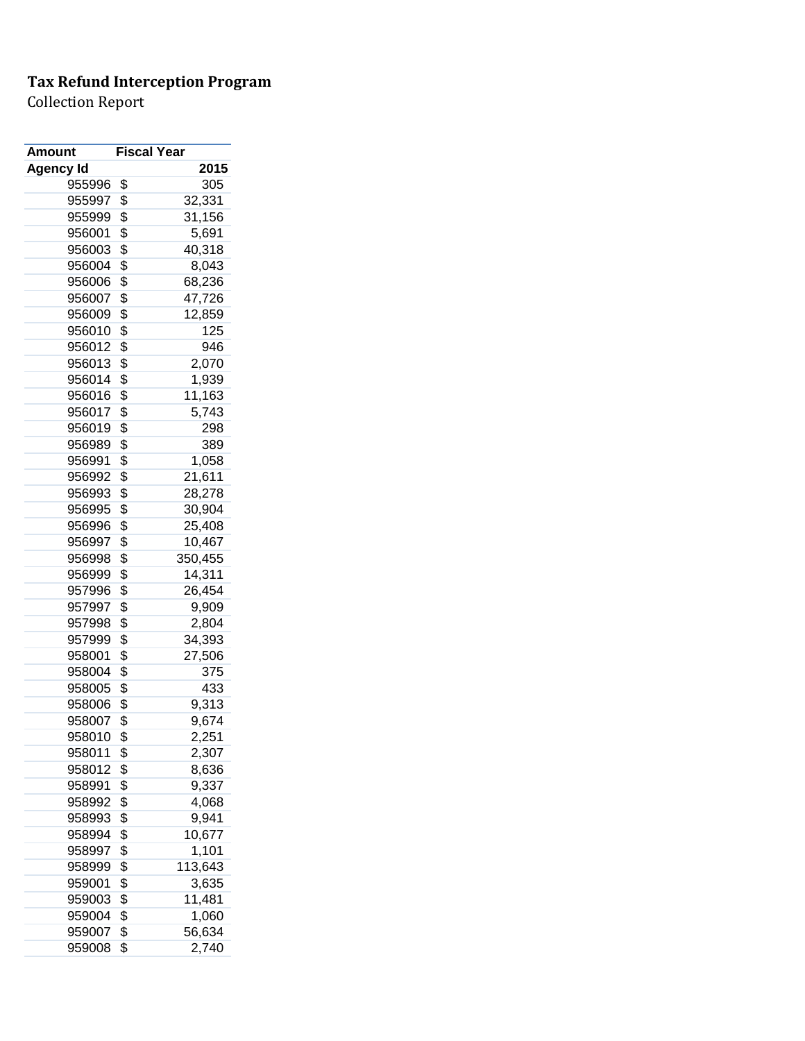| Amount           | <b>Fiscal Year</b> |         |
|------------------|--------------------|---------|
| <b>Agency Id</b> |                    | 2015    |
| 955996           | \$                 | 305     |
| 955997           | \$                 | 32,331  |
| 955999           | \$                 | 31,156  |
| 956001           | \$                 | 5,691   |
| 956003           | \$                 | 40,318  |
| 956004           | \$                 | 8,043   |
| 956006           | \$                 | 68,236  |
| 956007           | \$                 | 47,726  |
| 956009           | \$                 | 12,859  |
| 956010           | \$                 | 125     |
| 956012           | \$                 | 946     |
| 956013           | \$                 | 2,070   |
| 956014           | \$                 | 1,939   |
| 956016           | \$                 | 11,163  |
| 956017           | \$                 | 5,743   |
| 956019           | \$                 | 298     |
| 956989           | \$                 | 389     |
| 956991           | \$                 | 1,058   |
| 956992           | \$                 | 21,611  |
| 956993           | \$                 | 28,278  |
| 956995           | \$                 | 30,904  |
| 956996           | \$                 | 25,408  |
| 956997           | \$                 | 10,467  |
| 956998           | \$                 | 350,455 |
| 956999           | \$                 | 14,311  |
| 957996           | \$                 | 26,454  |
| 957997           | \$                 | 9,909   |
| 957998           | \$                 | 2,804   |
| 957999           | \$                 | 34,393  |
| 958001           | \$                 | 27,506  |
| 958004           | \$                 | 375     |
| 958005           | \$                 | 433     |
| 958006           | \$                 | 9,313   |
| 958007           | \$                 | 9,674   |
| 958010           | \$                 | 2,251   |
| 958011           | \$                 | 2,307   |
| 958012           | \$                 | 8,636   |
| 958991           | \$                 | 9,337   |
| 958992           | \$                 | 4,068   |
| 958993           | \$                 | 9,941   |
| 958994           | \$                 | 10,677  |
| 958997           | \$                 | 1,101   |
| 958999           | \$                 | 113,643 |
| 959001           | \$                 | 3,635   |
| 959003           | \$                 | 11,481  |
| 959004           | \$                 | 1,060   |
| 959007           | \$                 | 56,634  |
| 959008           | \$                 | 2,740   |
|                  |                    |         |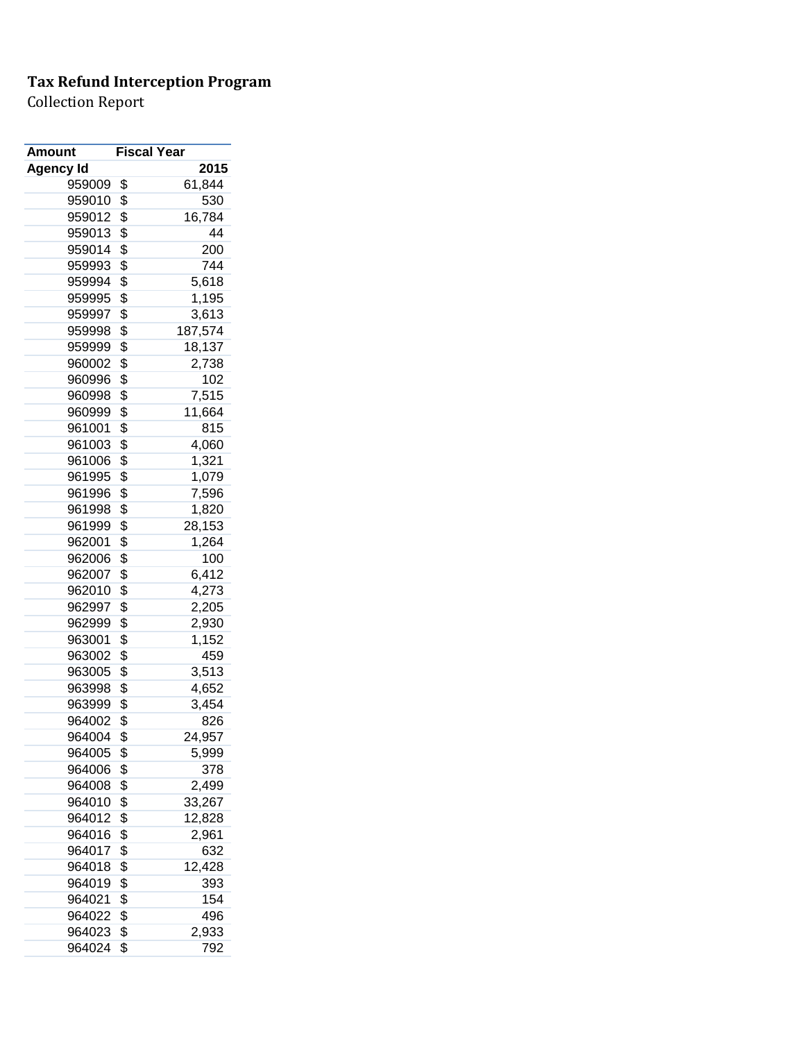| <b>Amount</b> | <b>Fiscal Year</b> |
|---------------|--------------------|
| Agency Id     | 2015               |
| 959009        | \$<br>61,844       |
| 959010        | \$<br>530          |
| 959012        | \$<br>16,784       |
| 959013        | \$<br>44           |
| 959014        | \$<br>200          |
| 959993        | \$<br>744          |
| 959994        | \$<br>5,618        |
| 959995        | \$<br>1,195        |
| 959997        | \$<br>3,613        |
| 959998        | \$<br>187,574      |
| 959999        | \$<br>18,137       |
| 960002        | \$<br>2,738        |
| 960996        | \$<br>102          |
| 960998        | \$<br>7,515        |
| 960999        | \$<br>11,664       |
| 961001        | \$<br>815          |
| 961003        | \$<br>4,060        |
| 961006        | \$<br>1,321        |
| 961995        | \$<br>1,079        |
| 961996        | \$<br>7,596        |
| 961998        | \$<br>1,820        |
| 961999        | \$<br>28,153       |
| 962001        | \$<br>1,264        |
| 962006        | \$<br>100          |
| 962007        | \$<br>6,412        |
| 962010        | \$<br>4,273        |
| 962997        | \$<br>2,205        |
| 962999        | \$<br>2,930        |
| 963001        | \$<br>1,152        |
| 963002        | \$<br>459          |
| 963005        | \$<br>3,513        |
| 963998        | \$<br>4,652        |
| 963999        | \$<br>3,454        |
| 964002        | \$<br>826          |
| 964004        | \$<br>24,957       |
| 964005        | \$<br>5,999        |
| 964006        | \$<br>378          |
| 964008        | \$<br>2,499        |
| 964010        | \$<br>33,267       |
| 964012        | \$<br>12,828       |
| 964016        | \$<br>2,961        |
| 964017        | \$<br>632          |
| 964018        | \$<br>12,428       |
| 964019        | \$<br>393          |
| 964021        | \$<br>154          |
| 964022        | \$<br>496          |
| 964023        | \$<br>2,933        |
| 964024        | \$<br>792          |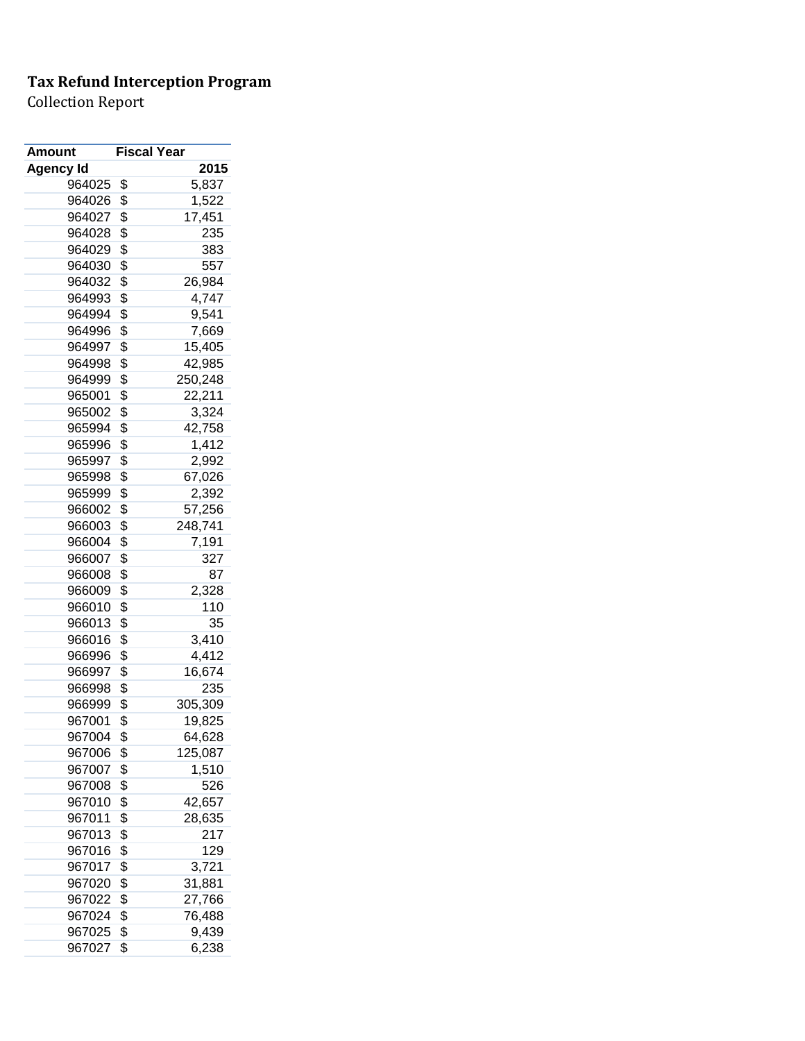| Amount           | <b>Fiscal Year</b> |                   |
|------------------|--------------------|-------------------|
| <b>Agency Id</b> |                    | 2015              |
| 964025           | \$                 | 5,837             |
| 964026           | \$                 | 1,522             |
| 964027           | \$                 | 17,451            |
| 964028           | \$                 | 235               |
| 964029           | \$                 | 383               |
| 964030           | \$                 | 557               |
| 964032           | \$                 | 26,984            |
| 964993           | \$                 | 4,747             |
| 964994           | \$                 | 9,541             |
| 964996           | \$                 | 7,669             |
| 964997           | \$                 | 15,405            |
| 964998           | \$                 | 42,985            |
| 964999           | \$                 | 250,248           |
| 965001           | \$                 | 22,211            |
| 965002           | \$                 | 3,324             |
| 965994           | \$                 | 42,758            |
| 965996           | \$                 | 1,412             |
| 965997           | \$                 | 2,992             |
| 965998           | \$                 | 67,026            |
| 965999           | \$                 | 2,392             |
| 966002           | \$                 | 57,256            |
| 966003           | \$                 | 248,741           |
| 966004           | \$                 | 7,191             |
| 966007           | \$                 | 327               |
| 966008           | \$                 | 87                |
| 966009           | \$                 | 2,328             |
| 966010           | \$                 | 110               |
| 966013           | \$                 | 35                |
| 966016           | \$                 | 3,410             |
| 966996           | \$                 | 4,412             |
| 966997           | \$                 | 16,674            |
| 966998           | \$                 | 235               |
| 966999           | \$                 | 305,309           |
| 967001           | \$                 | 19,825            |
| 967004           | \$                 |                   |
| 967006           | \$                 | 64,628<br>125,087 |
| 967007           |                    |                   |
|                  | \$                 | 1,510             |
| 967008           | \$                 | 526               |
| 967010           | \$                 | 42,657            |
| 967011           | \$                 | 28,635            |
| 967013           | \$                 | 217               |
| 967016           | \$                 | 129               |
| 967017           | \$                 | 3,721             |
| 967020           | \$                 | 31,881            |
| 967022           | \$                 | 27,766            |
| 967024           | \$                 | 76,488            |
| 967025           | \$                 | 9,439             |
| 967027           | \$                 | 6,238             |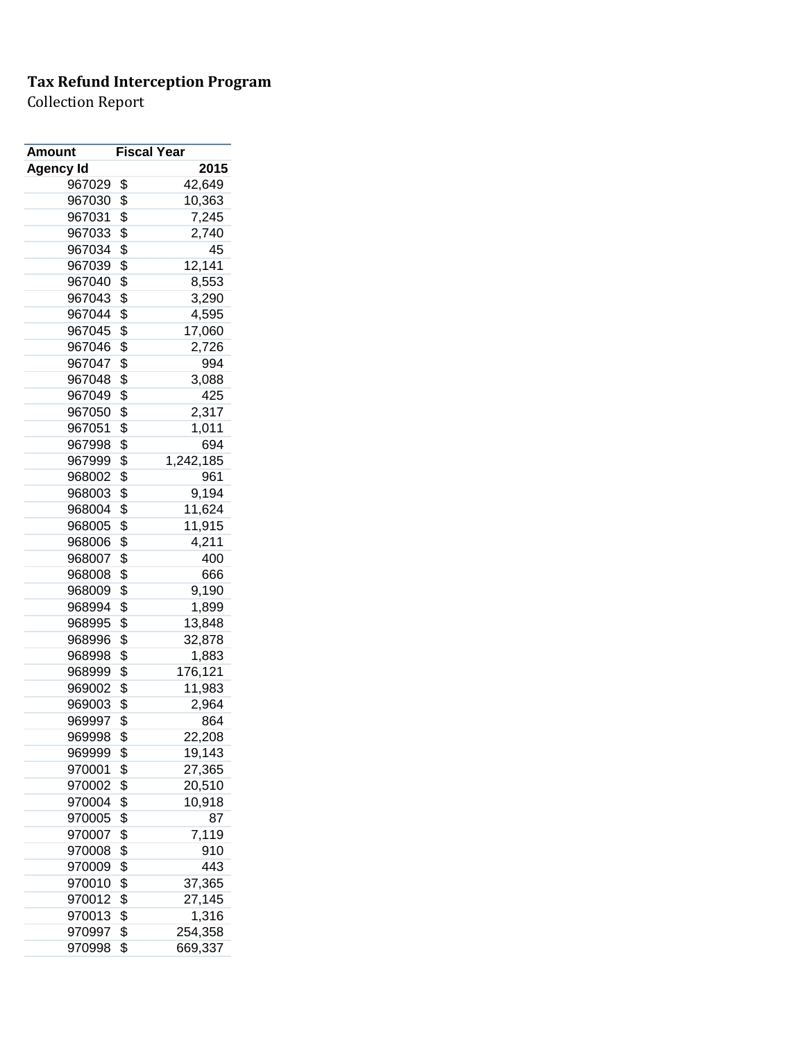| 2015<br><b>Agency Id</b><br>967029<br>\$<br>42,649<br>\$<br>10,363<br>967030<br>\$<br>967031<br>7,245<br>\$<br>967033<br>2,740<br>\$<br>45<br>967034<br>\$<br>12,141<br>967039<br>\$<br>967040<br>8,553<br>\$<br>967043<br>3,290<br>\$<br>967044<br>4,595<br>\$<br>967045<br>17,060<br>\$<br>967046<br>2,726<br>\$<br>967047<br>994<br>\$<br>967048<br>3,088<br>\$<br>967049<br>425<br>\$<br>967050<br>2,317<br>\$<br>967051<br>1,011<br>\$<br>694<br>967998<br>\$<br>967999<br>1,242,185<br>\$<br>961<br>968002<br>\$<br>968003<br>9,194<br>\$<br>11,624<br>968004<br>\$<br>968005<br>11,915 |
|-----------------------------------------------------------------------------------------------------------------------------------------------------------------------------------------------------------------------------------------------------------------------------------------------------------------------------------------------------------------------------------------------------------------------------------------------------------------------------------------------------------------------------------------------------------------------------------------------|
|                                                                                                                                                                                                                                                                                                                                                                                                                                                                                                                                                                                               |
|                                                                                                                                                                                                                                                                                                                                                                                                                                                                                                                                                                                               |
|                                                                                                                                                                                                                                                                                                                                                                                                                                                                                                                                                                                               |
|                                                                                                                                                                                                                                                                                                                                                                                                                                                                                                                                                                                               |
|                                                                                                                                                                                                                                                                                                                                                                                                                                                                                                                                                                                               |
|                                                                                                                                                                                                                                                                                                                                                                                                                                                                                                                                                                                               |
|                                                                                                                                                                                                                                                                                                                                                                                                                                                                                                                                                                                               |
|                                                                                                                                                                                                                                                                                                                                                                                                                                                                                                                                                                                               |
|                                                                                                                                                                                                                                                                                                                                                                                                                                                                                                                                                                                               |
|                                                                                                                                                                                                                                                                                                                                                                                                                                                                                                                                                                                               |
|                                                                                                                                                                                                                                                                                                                                                                                                                                                                                                                                                                                               |
|                                                                                                                                                                                                                                                                                                                                                                                                                                                                                                                                                                                               |
|                                                                                                                                                                                                                                                                                                                                                                                                                                                                                                                                                                                               |
|                                                                                                                                                                                                                                                                                                                                                                                                                                                                                                                                                                                               |
|                                                                                                                                                                                                                                                                                                                                                                                                                                                                                                                                                                                               |
|                                                                                                                                                                                                                                                                                                                                                                                                                                                                                                                                                                                               |
|                                                                                                                                                                                                                                                                                                                                                                                                                                                                                                                                                                                               |
|                                                                                                                                                                                                                                                                                                                                                                                                                                                                                                                                                                                               |
|                                                                                                                                                                                                                                                                                                                                                                                                                                                                                                                                                                                               |
|                                                                                                                                                                                                                                                                                                                                                                                                                                                                                                                                                                                               |
|                                                                                                                                                                                                                                                                                                                                                                                                                                                                                                                                                                                               |
|                                                                                                                                                                                                                                                                                                                                                                                                                                                                                                                                                                                               |
|                                                                                                                                                                                                                                                                                                                                                                                                                                                                                                                                                                                               |
| \$<br>968006<br>4,211                                                                                                                                                                                                                                                                                                                                                                                                                                                                                                                                                                         |
| \$<br>968007<br>400                                                                                                                                                                                                                                                                                                                                                                                                                                                                                                                                                                           |
| \$<br>968008<br>666                                                                                                                                                                                                                                                                                                                                                                                                                                                                                                                                                                           |
| \$<br>9,190<br>968009                                                                                                                                                                                                                                                                                                                                                                                                                                                                                                                                                                         |
| \$<br>1,899<br>968994                                                                                                                                                                                                                                                                                                                                                                                                                                                                                                                                                                         |
| \$<br>968995<br>13,848                                                                                                                                                                                                                                                                                                                                                                                                                                                                                                                                                                        |
| \$<br>968996<br>32,878                                                                                                                                                                                                                                                                                                                                                                                                                                                                                                                                                                        |
| \$<br>968998<br>1,883                                                                                                                                                                                                                                                                                                                                                                                                                                                                                                                                                                         |
| \$<br>968999<br>176,121                                                                                                                                                                                                                                                                                                                                                                                                                                                                                                                                                                       |
| \$<br>11,983<br>969002                                                                                                                                                                                                                                                                                                                                                                                                                                                                                                                                                                        |
| \$<br>969003<br>2,964                                                                                                                                                                                                                                                                                                                                                                                                                                                                                                                                                                         |
| 969997<br>\$<br>864                                                                                                                                                                                                                                                                                                                                                                                                                                                                                                                                                                           |
| \$<br>969998<br>22,208                                                                                                                                                                                                                                                                                                                                                                                                                                                                                                                                                                        |
| \$<br>969999<br>19,143                                                                                                                                                                                                                                                                                                                                                                                                                                                                                                                                                                        |
| \$<br>27,365<br>970001                                                                                                                                                                                                                                                                                                                                                                                                                                                                                                                                                                        |
| \$<br>20,510<br>970002                                                                                                                                                                                                                                                                                                                                                                                                                                                                                                                                                                        |
| \$<br>10,918<br>970004                                                                                                                                                                                                                                                                                                                                                                                                                                                                                                                                                                        |
| \$<br>970005<br>87                                                                                                                                                                                                                                                                                                                                                                                                                                                                                                                                                                            |
| \$<br>7,119<br>970007                                                                                                                                                                                                                                                                                                                                                                                                                                                                                                                                                                         |
| \$<br>970008<br>910                                                                                                                                                                                                                                                                                                                                                                                                                                                                                                                                                                           |
| \$<br>970009<br>443                                                                                                                                                                                                                                                                                                                                                                                                                                                                                                                                                                           |
| \$<br>970010<br>37,365                                                                                                                                                                                                                                                                                                                                                                                                                                                                                                                                                                        |
| \$<br>970012<br>27,145                                                                                                                                                                                                                                                                                                                                                                                                                                                                                                                                                                        |
| \$<br>970013<br>1,316                                                                                                                                                                                                                                                                                                                                                                                                                                                                                                                                                                         |
| \$<br>254,358<br>970997                                                                                                                                                                                                                                                                                                                                                                                                                                                                                                                                                                       |
| \$<br>669,337<br>970998                                                                                                                                                                                                                                                                                                                                                                                                                                                                                                                                                                       |